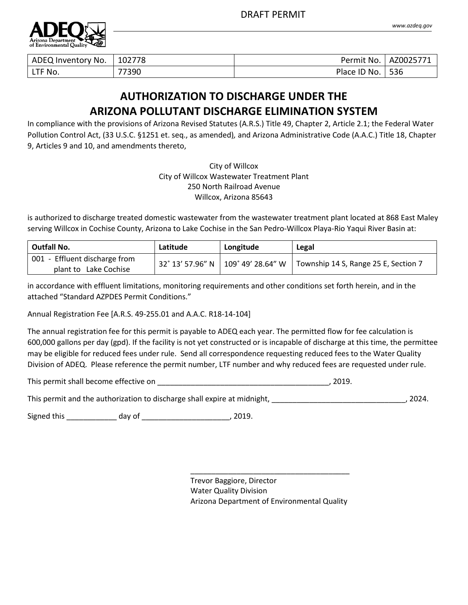

| ADEQ Inventory<br>No. | 102778 | $H \cap N$ No.<br>Permit | AZ002577 |
|-----------------------|--------|--------------------------|----------|
| LTF.<br>No.           | 77390  | Place ID No.             | 536      |

# **AUTHORIZATION TO DISCHARGE UNDER THE ARIZONA POLLUTANT DISCHARGE ELIMINATION SYSTEM**

In compliance with the provisions of Arizona Revised Statutes (A.R.S.) Title 49, Chapter 2, Article 2.1; the Federal Water Pollution Control Act, (33 U.S.C. §1251 et. seq., as amended)*,* and Arizona Administrative Code (A.A.C.) Title 18, Chapter 9, Articles 9 and 10, and amendments thereto,

> City of Willcox City of Willcox Wastewater Treatment Plant 250 North Railroad Avenue Willcox, Arizona 85643

is authorized to discharge treated domestic wastewater from the wastewater treatment plant located at 868 East Maley serving Willcox in Cochise County, Arizona to Lake Cochise in the San Pedro-Willcox Playa-Rio Yaqui River Basin at:

| Outfall No.                                            | Latitude | Longitude                            | Legal                                |
|--------------------------------------------------------|----------|--------------------------------------|--------------------------------------|
| 001 - Effluent discharge from<br>plant to Lake Cochise |          | 32° 13′ 57.96″ N   109° 49′ 28.64″ W | Township 14 S, Range 25 E, Section 7 |

in accordance with effluent limitations, monitoring requirements and other conditions set forth herein, and in the attached "Standard AZPDES Permit Conditions."

Annual Registration Fee [A.R.S. 49-255.01 and A.A.C. R18-14-104]

The annual registration fee for this permit is payable to ADEQ each year. The permitted flow for fee calculation is 600,000 gallons per day (gpd). If the facility is not yet constructed or is incapable of discharge at this time, the permittee may be eligible for reduced fees under rule. Send all correspondence requesting reduced fees to the Water Quality Division of ADEQ. Please reference the permit number, LTF number and why reduced fees are requested under rule.

This permit shall become effective on \_\_\_\_\_\_\_\_\_\_\_\_\_\_\_\_\_\_\_\_\_\_\_\_\_\_\_\_\_\_\_\_\_\_\_\_\_\_\_\_\_, 2019.

This permit and the authorization to discharge shall expire at midnight, \_\_\_\_\_\_\_\_\_\_\_\_\_\_\_\_\_\_\_\_\_\_\_\_\_\_\_\_\_\_\_\_\_\_\_, 2024.

Signed this day of 2019.

\_\_\_\_\_\_\_\_\_\_\_\_\_\_\_\_\_\_\_\_\_\_\_\_\_\_\_\_\_\_\_\_\_\_\_\_\_\_ Trevor Baggiore, Director Water Quality Division Arizona Department of Environmental Quality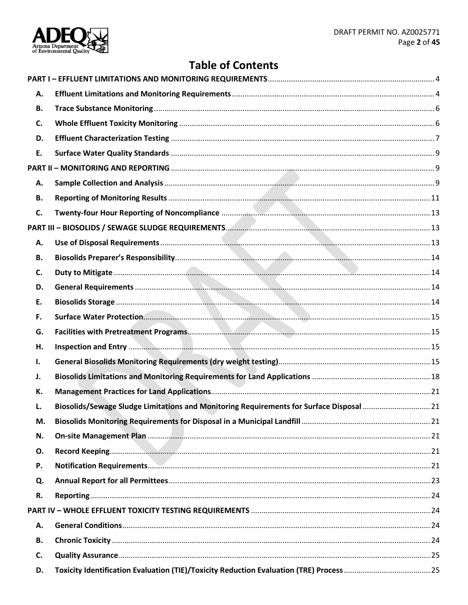

# **Table of Contents**

|                | PART I – EFFLUENT LIMITATIONS AND MONITORING REQUIREMENTS ……………………………………………………………………4    |  |
|----------------|------------------------------------------------------------------------------------------|--|
| А.             |                                                                                          |  |
| В.             |                                                                                          |  |
| C.             |                                                                                          |  |
| D.             |                                                                                          |  |
| Ε.             |                                                                                          |  |
|                |                                                                                          |  |
| А.             |                                                                                          |  |
| <b>B.</b>      |                                                                                          |  |
| C.             |                                                                                          |  |
|                |                                                                                          |  |
| Α.             |                                                                                          |  |
| В.             |                                                                                          |  |
| C.             |                                                                                          |  |
| D.             |                                                                                          |  |
| Ε.             |                                                                                          |  |
| F.             |                                                                                          |  |
| G.             |                                                                                          |  |
| Н.             |                                                                                          |  |
| $\mathbf{l}$ . |                                                                                          |  |
| J.             |                                                                                          |  |
| К.             |                                                                                          |  |
| L.             | Biosolids/Sewage Sludge Limitations and Monitoring Requirements for Surface Disposal  21 |  |
| M.             |                                                                                          |  |
| N.             |                                                                                          |  |
| О.             |                                                                                          |  |
| Ρ.             |                                                                                          |  |
| Q.             |                                                                                          |  |
| R.             |                                                                                          |  |
|                | PART IV - WHOLE EFFLUENT TOXICITY TESTING REQUIREMENTS …………………………………………………………………………24    |  |
| Α.             |                                                                                          |  |
| В.             |                                                                                          |  |
| C.             |                                                                                          |  |
| D.             |                                                                                          |  |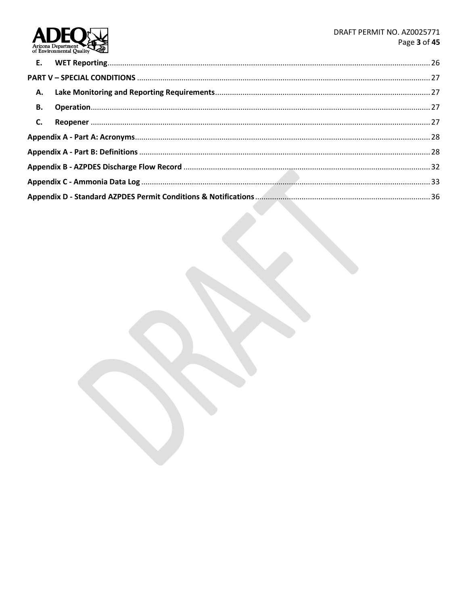

| $\mathsf{C}$ . |  |
|----------------|--|
|                |  |
|                |  |
|                |  |
|                |  |
|                |  |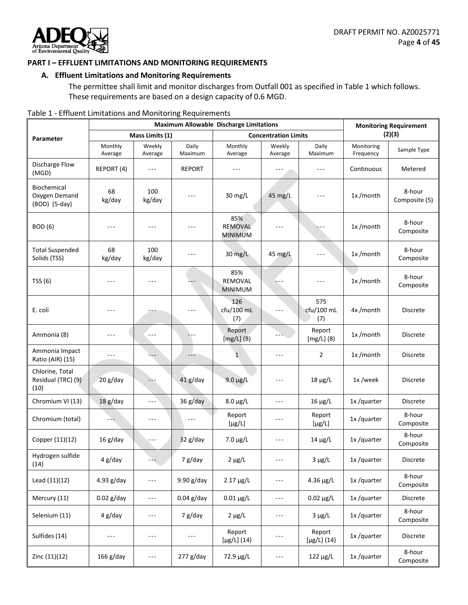

## <span id="page-3-1"></span><span id="page-3-0"></span>**PART I – EFFLUENT LIMITATIONS AND MONITORING REQUIREMENTS**

## **A. Effluent Limitations and Monitoring Requirements**

The permittee shall limit and monitor discharges from Outfall 001 as specified in Table 1 which follows. These requirements are based on a design capacity of 0.6 MGD.

#### Table 1 - Effluent Limitations and Monitoring Requirements

|                                               | <b>Maximum Allowable Discharge Limitations</b> |                      |                  |                                  |                      |                            | <b>Monitoring Requirement</b> |                         |
|-----------------------------------------------|------------------------------------------------|----------------------|------------------|----------------------------------|----------------------|----------------------------|-------------------------------|-------------------------|
| Parameter                                     |                                                | Mass Limits (1)      |                  | <b>Concentration Limits</b>      |                      |                            | (2)(3)                        |                         |
|                                               | Monthly<br>Average                             | Weekly<br>Average    | Daily<br>Maximum | Monthly<br>Average               | Weekly<br>Average    | Daily<br>Maximum           | Monitoring<br>Frequency       | Sample Type             |
| Discharge Flow<br>(MGD)                       | REPORT (4)                                     | $- - -$              | <b>REPORT</b>    | $- - -$                          | ---                  | ---                        | Continuous                    | Metered                 |
| Biochemical<br>Oxygen Demand<br>(BOD) (5-day) | 68<br>kg/day                                   | 100<br>kg/day        |                  | 30 mg/L                          | 45 mg/L              | ---                        | $1x$ /month                   | 8-hour<br>Composite (5) |
| <b>BOD</b> (6)                                | $\sim$ $\sim$ $\sim$                           | $- - -$              | $- - -$          | 85%<br>REMOVAL<br><b>MINIMUM</b> | $\sim$ $\sim$ $\sim$ | $- - -$                    | 1x/month                      | 8-hour<br>Composite     |
| <b>Total Suspended</b><br>Solids (TSS)        | 68<br>kg/day                                   | 100<br>kg/day        | ---              | $30 \text{ mg/L}$                | 45 mg/L              | $- - -$                    | $1x$ /month                   | 8-hour<br>Composite     |
| TSS(6)                                        | $- - -$                                        | $- - -$              |                  | 85%<br>REMOVAL<br><b>MINIMUM</b> | ---                  | $- - -$                    | 1x/month                      | 8-hour<br>Composite     |
| E. coli                                       | $- - -$                                        |                      | ---              | 126<br>cfu/100 mL<br>(7)         | $ -$                 | 575<br>cfu/100 mL<br>(7)   | 4x/month                      | <b>Discrete</b>         |
| Ammonia (8)                                   | $\frac{1}{2}$                                  | $\sim$ $\sim$ $\sim$ | ---              | Report<br>[mg/L](8)              | ---                  | Report<br>$[mg/L]$ (8)     | 1x/month                      | Discrete                |
| Ammonia Impact<br>Ratio (AIR) (15)            | $- - -$                                        | - - -                | $- - -$          | $\mathbf{1}$                     | $\sim$ $\sim$ $\sim$ | 2                          | 1x/month                      | Discrete                |
| Chlorine, Total<br>Residual (TRC) (9)<br>(10) | 20 g/day                                       | ---                  | 41 g/day         | $9.0 \mu g/L$                    | ---                  | $18 \mu g/L$               | 1x/week                       | Discrete                |
| Chromium VI (13)                              | 18 g/day                                       | $ -$                 | 36 g/day         | $8.0 \mu g/L$                    | $\sim$ $\sim$ $\sim$ | $16 \mu g/L$               | 1x/quarter                    | Discrete                |
| Chromium (total)                              | ---                                            | $- - -$              | $- - -$          | Report<br>$[\mu g/L]$            | $- - -$              | Report<br>$[\mu g/L]$      | 1x/quarter                    | 8-hour<br>Composite     |
| Copper (11)(12)                               | 16 g/day                                       | $- - -$              | 32 g/day         | $7.0 \mu g/L$                    | $- - -$              | $14 \mu g/L$               | 1x/quarter                    | 8-hour<br>Composite     |
| Hydrogen sulfide<br>(14)                      | 4 g/day                                        |                      | 7 g/day          | $2 \mu g/L$                      | ---                  | $3 \mu g/L$                | 1x/quarter                    | <b>Discrete</b>         |
| Lead (11)(12)                                 | $4.93$ g/day                                   | $  -$                | 9.90 g/day       | $2.17 \mu g/L$                   | ---                  | $4.36 \mu g/L$             | 1x/quarter                    | 8-hour<br>Composite     |
| Mercury (11)                                  | $0.02$ g/day                                   | $\sim$ $\sim$ $\sim$ | $0.04$ g/day     | $0.01 \,\mathrm{\upmu g/L}$      | $\sim$ $\sim$ $\sim$ | $0.02 \mu g/L$             | 1x/quarter                    | Discrete                |
| Selenium (11)                                 | 4 g/day                                        | $  -$                | 7 g/day          | $2 \mu g/L$                      | $  -$                | $3 \mu g/L$                | 1x/quarter                    | 8-hour<br>Composite     |
| Sulfides (14)                                 | $- - -$                                        | $---$                | ---              | Report<br>$[\mu g/L]$ (14)       | ---                  | Report<br>$[\mu g/L]$ (14) | 1x/quarter                    | Discrete                |
| Zinc (11)(12)                                 | 166 g/day                                      | $--$                 | $277$ g/day      | 72.9 µg/L                        | $--$                 | $122 \mu g/L$              | 1x/quarter                    | 8-hour<br>Composite     |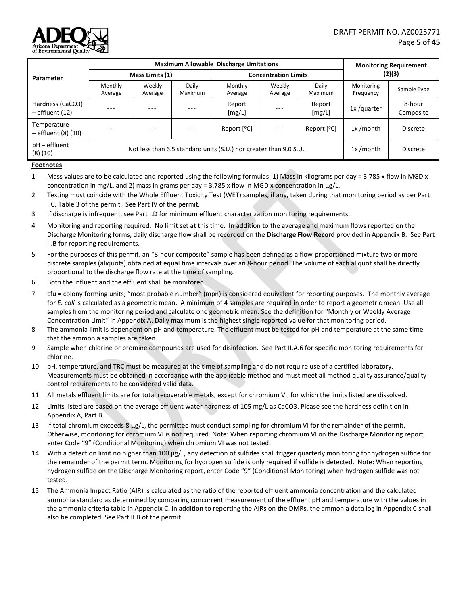

| <b>Maximum Allowable Discharge Limitations</b> |                                                                                                     |                   |                  |                    |                             |                          | <b>Monitoring Requirement</b> |                     |
|------------------------------------------------|-----------------------------------------------------------------------------------------------------|-------------------|------------------|--------------------|-----------------------------|--------------------------|-------------------------------|---------------------|
| Parameter                                      |                                                                                                     | Mass Limits (1)   |                  |                    | <b>Concentration Limits</b> |                          |                               | (2)(3)              |
|                                                | Monthly<br>Average                                                                                  | Weekly<br>Average | Daily<br>Maximum | Monthly<br>Average | Weekly<br>Average           | Daily<br>Maximum         | Monitoring<br>Frequency       | Sample Type         |
| Hardness (CaCO3)<br>$-$ effluent (12)          | $- - -$                                                                                             | $- - -$           |                  | Report<br>[mg/L]   | $- - -$                     | Report<br>[mg/L]         | $1x$ /quarter                 | 8-hour<br>Composite |
| Temperature<br>- effluent (8) (10)             | $- - -$                                                                                             | $- - -$           | ---              | Report [°C]        | $- - -$                     | Report [ <sup>o</sup> C] | $1x$ /month                   | <b>Discrete</b>     |
| pH – effluent<br>(8)(10)                       | Not less than 6.5 standard units (S.U.) nor greater than 9.0 S.U.<br>$1x$ /month<br><b>Discrete</b> |                   |                  |                    |                             |                          |                               |                     |

#### **Footnotes**

- 1 Mass values are to be calculated and reported using the following formulas: 1) Mass in kilograms per day = 3.785 x flow in MGD x concentration in mg/L, and 2) mass in grams per day =  $3.785$  x flow in MGD x concentration in  $\mu$ g/L.
- 2 Testing must coincide with the Whole Effluent Toxicity Test (WET) samples, if any, taken during that monitoring period as per Part I.C, Table 3 of the permit. See Part IV of the permit.
- 3 If discharge is infrequent, see Part I.D for minimum effluent characterization monitoring requirements.
- 4 Monitoring and reporting required. No limit set at this time. In addition to the average and maximum flows reported on the Discharge Monitoring forms, daily discharge flow shall be recorded on the **Discharge Flow Record** provided in Appendix B. See Part II.B for reporting requirements.
- 5 For the purposes of this permit, an "8-hour composite" sample has been defined as a flow-proportioned mixture two or more discrete samples (aliquots) obtained at equal time intervals over an 8-hour period. The volume of each aliquot shall be directly proportional to the discharge flow rate at the time of sampling.
- 6 Both the influent and the effluent shall be monitored.
- 7 cfu = colony forming units; "most probable number" (mpn) is considered equivalent for reporting purposes. The monthly average for *E. coli* is calculated as a geometric mean. A minimum of 4 samples are required in order to report a geometric mean. Use all samples from the monitoring period and calculate one geometric mean. See the definition for "Monthly or Weekly Average Concentration Limit" in Appendix A. Daily maximum is the highest single reported value for that monitoring period.
- 8 The ammonia limit is dependent on pH and temperature. The effluent must be tested for pH and temperature at the same time that the ammonia samples are taken.
- 9 Sample when chlorine or bromine compounds are used for disinfection. See Part II.A.6 for specific monitoring requirements for chlorine.
- 10 pH, temperature, and TRC must be measured at the time of sampling and do not require use of a certified laboratory. Measurements must be obtained in accordance with the applicable method and must meet all method quality assurance/quality control requirements to be considered valid data.
- 11 All metals effluent limits are for total recoverable metals, except for chromium VI, for which the limits listed are dissolved.
- 12 Limits listed are based on the average effluent water hardness of 105 mg/L as CaCO3. Please see the hardness definition in Appendix A, Part B.
- 13 If total chromium exceeds 8  $\mu$ g/L, the permittee must conduct sampling for chromium VI for the remainder of the permit. Otherwise, monitoring for chromium VI is not required. Note: When reporting chromium VI on the Discharge Monitoring report, enter Code "9" (Conditional Monitoring) when chromium VI was not tested.
- 14 With a detection limit no higher than 100 µg/L, any detection of sulfides shall trigger quarterly monitoring for hydrogen sulfide for the remainder of the permit term. Monitoring for hydrogen sulfide is only required if sulfide is detected. Note: When reporting hydrogen sulfide on the Discharge Monitoring report, enter Code "9" (Conditional Monitoring) when hydrogen sulfide was not tested.
- 15 The Ammonia Impact Ratio (AIR) is calculated as the ratio of the reported effluent ammonia concentration and the calculated ammonia standard as determined by comparing concurrent measurement of the effluent pH and temperature with the values in the ammonia criteria table in Appendix C. In addition to reporting the AIRs on the DMRs, the ammonia data log in Appendix C shall also be completed. See Part II.B of the permit.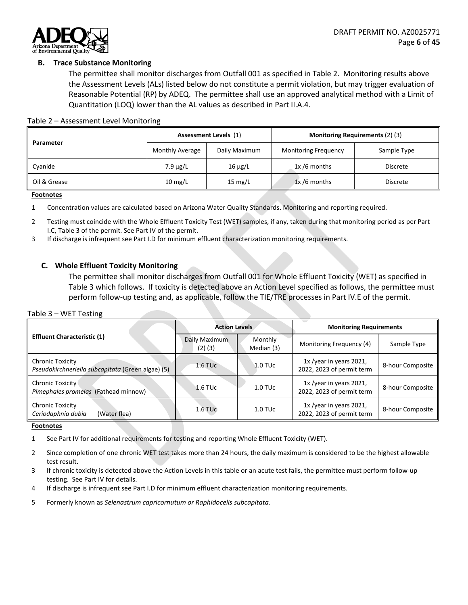

#### <span id="page-5-0"></span>**B. Trace Substance Monitoring**

The permittee shall monitor discharges from Outfall 001 as specified in Table 2. Monitoring results above the Assessment Levels (ALs) listed below do not constitute a permit violation, but may trigger evaluation of Reasonable Potential (RP) by ADEQ. The permittee shall use an approved analytical method with a Limit of Quantitation (LOQ) lower than the AL values as described in Part II.A.4.

| Table 2 - Assessment Level Monitoring |  |  |
|---------------------------------------|--|--|
|---------------------------------------|--|--|

| Parameter    | Assessment Levels (1)  |               |                             | Monitoring Requirements (2) (3) |
|--------------|------------------------|---------------|-----------------------------|---------------------------------|
|              | <b>Monthly Average</b> | Daily Maximum | <b>Monitoring Frequency</b> | Sample Type                     |
| Cyanide      | $7.9 \mu g/L$          | $16 \mu g/L$  | $1x/6$ months               | <b>Discrete</b>                 |
| Oil & Grease | 10 mg/L                | 15 mg/L       | $1x/6$ months               | <b>Discrete</b>                 |

#### **Footnotes**

1 Concentration values are calculated based on Arizona Water Quality Standards. Monitoring and reporting required.

2 Testing must coincide with the Whole Effluent Toxicity Test (WET) samples, if any, taken during that monitoring period as per Part I.C, Table 3 of the permit. See Part IV of the permit.

3 If discharge is infrequent see Part I.D for minimum effluent characterization monitoring requirements.

#### <span id="page-5-1"></span>**C. Whole Effluent Toxicity Monitoring**

The permittee shall monitor discharges from Outfall 001 for Whole Effluent Toxicity (WET) as specified in Table 3 which follows. If toxicity is detected above an Action Level specified as follows, the permittee must perform follow-up testing and, as applicable, follow the TIE/TRE processes in Part IV.E of the permit.

#### Table 3 – WET Testing

|                                                                              | <b>Action Levels</b>         |                       | <b>Monitoring Requirements</b>                         |                  |  |
|------------------------------------------------------------------------------|------------------------------|-----------------------|--------------------------------------------------------|------------------|--|
| <b>Effluent Characteristic (1)</b>                                           | Daily Maximum<br>$(2)$ $(3)$ | Monthly<br>Median (3) | Monitoring Frequency (4)                               | Sample Type      |  |
| <b>Chronic Toxicity</b><br>Pseudokirchneriella subcapitata (Green algae) (5) | $1.6$ TU $c$                 | $4.0\,$ TUc $-$       | 1x/year in years 2021,<br>2022, 2023 of permit term    | 8-hour Composite |  |
| Chronic Toxicity<br>Pimephales promelas (Fathead minnow)                     | $1.6$ TU $c$                 | $1.0$ TU $c$          | $1x$ /year in years 2021,<br>2022, 2023 of permit term | 8-hour Composite |  |
| <b>Chronic Toxicity</b><br>Ceriodaphnia dubia<br>(Water flea)                | $1.6$ TU $c$                 | $1.0$ TUc             | 1x/year in years 2021,<br>2022, 2023 of permit term    | 8-hour Composite |  |

#### **Footnotes**

1 See Part IV for additional requirements for testing and reporting Whole Effluent Toxicity (WET).

- 2 Since completion of one chronic WET test takes more than 24 hours, the daily maximum is considered to be the highest allowable test result.
- 3 If chronic toxicity is detected above the Action Levels in this table or an acute test fails, the permittee must perform follow-up testing. See Part IV for details.
- 4 If discharge is infrequent see Part I.D for minimum effluent characterization monitoring requirements.
- 5 Formerly known as *Selenastrum capricornutum or Raphidocelis subcapitata.*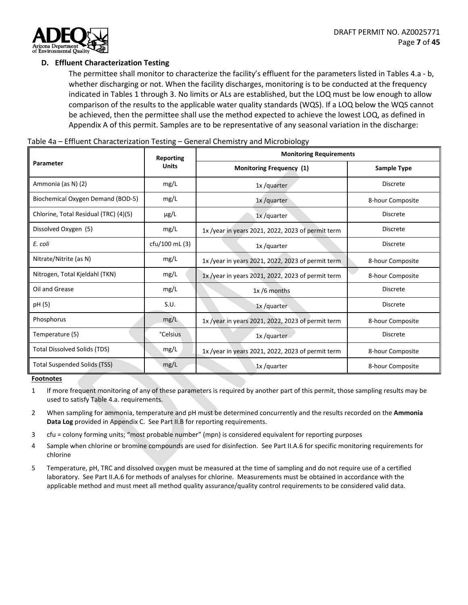

### <span id="page-6-0"></span>**D. Effluent Characterization Testing**

The permittee shall monitor to characterize the facility's effluent for the parameters listed in Tables 4.a - b, whether discharging or not. When the facility discharges, monitoring is to be conducted at the frequency indicated in Tables 1 through 3. No limits or ALs are established, but the LOQ must be low enough to allow comparison of the results to the applicable water quality standards (WQS). If a LOQ below the WQS cannot be achieved, then the permittee shall use the method expected to achieve the lowest LOQ, as defined in Appendix A of this permit. Samples are to be representative of any seasonal variation in the discharge:

#### Table 4a – Effluent Characterization Testing – General Chemistry and Microbiology

|                                       | Reporting             | <b>Monitoring Requirements</b>                    |                  |  |  |
|---------------------------------------|-----------------------|---------------------------------------------------|------------------|--|--|
| Parameter                             | <b>Units</b>          | Monitoring Frequency (1)                          | Sample Type      |  |  |
| Ammonia (as N) (2)                    | mg/L                  | 1x/quarter                                        | <b>Discrete</b>  |  |  |
| Biochemical Oxygen Demand (BOD-5)     | mg/L                  | 1x/quarter                                        | 8-hour Composite |  |  |
| Chlorine, Total Residual (TRC) (4)(5) | $\mu$ g/L             | 1x/quarter                                        | <b>Discrete</b>  |  |  |
| Dissolved Oxygen (5)                  | mg/L                  | 1x /year in years 2021, 2022, 2023 of permit term | <b>Discrete</b>  |  |  |
| E. coli                               | cfu/100 mL (3)        | 1x/quarter                                        | <b>Discrete</b>  |  |  |
| Nitrate/Nitrite (as N)                | mg/L                  | 1x/year in years 2021, 2022, 2023 of permit term  | 8-hour Composite |  |  |
| Nitrogen, Total Kjeldahl (TKN)        | mg/L                  | 1x /year in years 2021, 2022, 2023 of permit term | 8-hour Composite |  |  |
| Oil and Grease                        | mg/L                  | $1x/6$ months                                     | <b>Discrete</b>  |  |  |
| pH (5)                                | S.U.                  | 1x/quarter                                        | <b>Discrete</b>  |  |  |
| Phosphorus                            | mg/L                  | 1x /year in years 2021, 2022, 2023 of permit term | 8-hour Composite |  |  |
| Temperature (5)                       | <i><b>Celsius</b></i> | 1x/quarter                                        | <b>Discrete</b>  |  |  |
| <b>Total Dissolved Solids (TDS)</b>   | mg/L                  | 1x/year in years 2021, 2022, 2023 of permit term  | 8-hour Composite |  |  |
| <b>Total Suspended Solids (TSS)</b>   | mg/L                  | 1x/quarter                                        | 8-hour Composite |  |  |

#### **Footnotes**

- 1 If more frequent monitoring of any of these parameters is required by another part of this permit, those sampling results may be used to satisfy Table 4.a. requirements.
- 2 When sampling for ammonia, temperature and pH must be determined concurrently and the results recorded on the **Ammonia Data Log** provided in Appendix C. See Part II.B for reporting requirements.
- 3 cfu = colony forming units; "most probable number" (mpn) is considered equivalent for reporting purposes
- 4 Sample when chlorine or bromine compounds are used for disinfection. See Part II.A.6 for specific monitoring requirements for chlorine
- 5 Temperature, pH, TRC and dissolved oxygen must be measured at the time of sampling and do not require use of a certified laboratory. See Part II.A.6 for methods of analyses for chlorine. Measurements must be obtained in accordance with the applicable method and must meet all method quality assurance/quality control requirements to be considered valid data.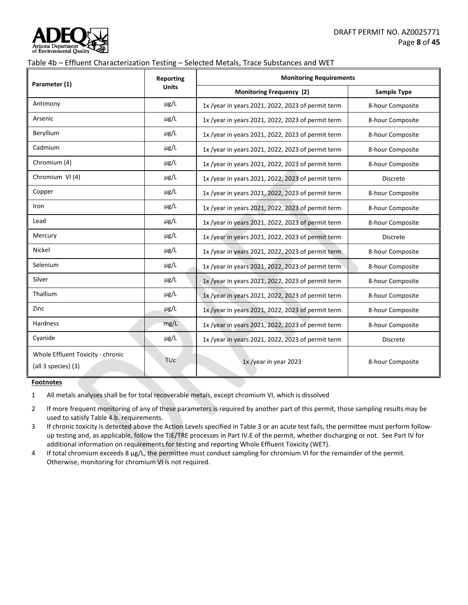

## Table 4b – Effluent Characterization Testing – Selected Metals, Trace Substances and WET

| Parameter (1)                                            | <b>Reporting</b>      | <b>Monitoring Requirements</b>                    |                  |  |
|----------------------------------------------------------|-----------------------|---------------------------------------------------|------------------|--|
|                                                          | <b>Units</b>          | <b>Monitoring Frequency (2)</b>                   | Sample Type      |  |
| Antimony                                                 | $\mu$ g/L             | 1x /year in years 2021, 2022, 2023 of permit term | 8-hour Composite |  |
| Arsenic                                                  | $\mu$ g/L             | 1x /year in years 2021, 2022, 2023 of permit term | 8-hour Composite |  |
| Beryllium                                                | $\mu$ g/L             | 1x /year in years 2021, 2022, 2023 of permit term | 8-hour Composite |  |
| Cadmium                                                  | $\mu$ g/L             | 1x /year in years 2021, 2022, 2023 of permit term | 8-hour Composite |  |
| Chromium (4)                                             | $\mu$ g/L             | 1x /year in years 2021, 2022, 2023 of permit term | 8-hour Composite |  |
| Chromium VI (4)                                          | $\mu$ g/L             | 1x /year in years 2021, 2022, 2023 of permit term | <b>Discrete</b>  |  |
| Copper                                                   | $\mu$ g/L             | 1x /year in years 2021, 2022, 2023 of permit term | 8-hour Composite |  |
| Iron                                                     | $\mu$ g/L             | 1x /year in years 2021, 2022, 2023 of permit term | 8-hour Composite |  |
| Lead                                                     | $\mu$ g/L             | 1x /year in years 2021, 2022, 2023 of permit term | 8-hour Composite |  |
| Mercury                                                  | $\mu$ g/L             | 1x /year in years 2021, 2022, 2023 of permit term | <b>Discrete</b>  |  |
| Nickel                                                   | $\mu$ g/L             | 1x /year in years 2021, 2022, 2023 of permit term | 8-hour Composite |  |
| Selenium                                                 | $\mu$ g/L             | 1x /year in years 2021, 2022, 2023 of permit term | 8-hour Composite |  |
| Silver                                                   | $\mu$ g/L             | 1x /year in years 2021, 2022, 2023 of permit term | 8-hour Composite |  |
| Thallium                                                 | $\mu$ g/L             | 1x /year in years 2021, 2022, 2023 of permit term | 8-hour Composite |  |
| Zinc                                                     | $\mu$ g/L             | 1x /year in years 2021, 2022, 2023 of permit term | 8-hour Composite |  |
| Hardness                                                 | mg/L                  | 1x /year in years 2021, 2022, 2023 of permit term | 8-hour Composite |  |
| Cyanide                                                  | $\mu$ g/L             | 1x /year in years 2021, 2022, 2023 of permit term | Discrete         |  |
| Whole Effluent Toxicity - chronic<br>(all 3 species) (3) | <b>TU<sub>C</sub></b> | 1x/year in year 2023                              | 8-hour Composite |  |

#### **Footnotes**

1 All metals analyses shall be for total recoverable metals, except chromium VI, which is dissolved

2 If more frequent monitoring of any of these parameters is required by another part of this permit, those sampling results may be used to satisfy Table 4.b. requirements.

- 3 If chronic toxicity is detected above the Action Levels specified in Table 3 or an acute test fails, the permittee must perform followup testing and, as applicable, follow the TIE/TRE processes in Part IV.E of the permit, whether discharging or not. See Part IV for additional information on requirements for testing and reporting Whole Effluent Toxicity (WET).
- 4 If total chromium exceeds 8 µg/L, the permittee must conduct sampling for chromium VI for the remainder of the permit. Otherwise, monitoring for chromium VI is not required.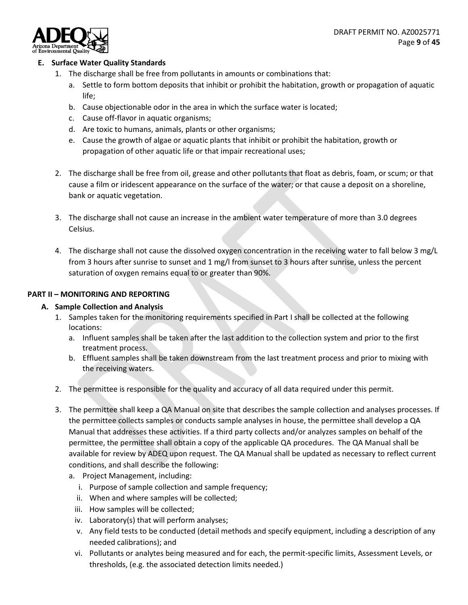

# <span id="page-8-0"></span>**E. Surface Water Quality Standards**

- 1. The discharge shall be free from pollutants in amounts or combinations that:
	- a. Settle to form bottom deposits that inhibit or prohibit the habitation, growth or propagation of aquatic life;
	- b. Cause objectionable odor in the area in which the surface water is located;
	- c. Cause off-flavor in aquatic organisms;
	- d. Are toxic to humans, animals, plants or other organisms;
	- e. Cause the growth of algae or aquatic plants that inhibit or prohibit the habitation, growth or propagation of other aquatic life or that impair recreational uses;
- 2. The discharge shall be free from oil, grease and other pollutants that float as debris, foam, or scum; or that cause a film or iridescent appearance on the surface of the water; or that cause a deposit on a shoreline, bank or aquatic vegetation.
- 3. The discharge shall not cause an increase in the ambient water temperature of more than 3.0 degrees Celsius.
- 4. The discharge shall not cause the dissolved oxygen concentration in the receiving water to fall below 3 mg/L from 3 hours after sunrise to sunset and 1 mg/l from sunset to 3 hours after sunrise, unless the percent saturation of oxygen remains equal to or greater than 90%.

#### <span id="page-8-2"></span><span id="page-8-1"></span>**PART II – MONITORING AND REPORTING**

## **A. Sample Collection and Analysis**

- 1. Samples taken for the monitoring requirements specified in Part I shall be collected at the following locations:
	- a. Influent samples shall be taken after the last addition to the collection system and prior to the first treatment process.
	- b. Effluent samples shall be taken downstream from the last treatment process and prior to mixing with the receiving waters.
- 2. The permittee is responsible for the quality and accuracy of all data required under this permit.
- 3. The permittee shall keep a QA Manual on site that describes the sample collection and analyses processes. If the permittee collects samples or conducts sample analyses in house, the permittee shall develop a QA Manual that addresses these activities. If a third party collects and/or analyzes samples on behalf of the permittee, the permittee shall obtain a copy of the applicable QA procedures. The QA Manual shall be available for review by ADEQ upon request. The QA Manual shall be updated as necessary to reflect current conditions, and shall describe the following:
	- a. Project Management, including:
		- i. Purpose of sample collection and sample frequency;
		- ii. When and where samples will be collected;
		- iii. How samples will be collected;
		- iv. Laboratory(s) that will perform analyses;
		- v. Any field tests to be conducted (detail methods and specify equipment, including a description of any needed calibrations); and
	- vi. Pollutants or analytes being measured and for each, the permit-specific limits, Assessment Levels, or thresholds, (e.g. the associated detection limits needed.)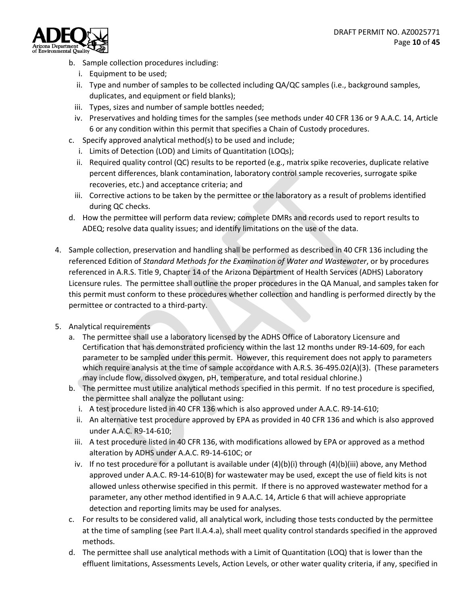

- b. Sample collection procedures including:
	- i. Equipment to be used;
	- ii. Type and number of samples to be collected including QA/QC samples (i.e., background samples, duplicates, and equipment or field blanks);
	- iii. Types, sizes and number of sample bottles needed;
	- iv. Preservatives and holding times for the samples (see methods under 40 CFR 136 or 9 A.A.C. 14, Article 6 or any condition within this permit that specifies a Chain of Custody procedures.
- c. Specify approved analytical method(s) to be used and include;
	- i. Limits of Detection (LOD) and Limits of Quantitation (LOQs);
	- ii. Required quality control (QC) results to be reported (e.g., matrix spike recoveries, duplicate relative percent differences, blank contamination, laboratory control sample recoveries, surrogate spike recoveries, etc.) and acceptance criteria; and
	- iii. Corrective actions to be taken by the permittee or the laboratory as a result of problems identified during QC checks.
- d. How the permittee will perform data review; complete DMRs and records used to report results to ADEQ; resolve data quality issues; and identify limitations on the use of the data.
- 4. Sample collection, preservation and handling shall be performed as described in 40 CFR 136 including the referenced Edition of *Standard Methods for the Examination of Water and Wastewater*, or by procedures referenced in A.R.S. Title 9, Chapter 14 of the Arizona Department of Health Services (ADHS) Laboratory Licensure rules. The permittee shall outline the proper procedures in the QA Manual, and samples taken for this permit must conform to these procedures whether collection and handling is performed directly by the permittee or contracted to a third-party.
- 5. Analytical requirements
	- a. The permittee shall use a laboratory licensed by the ADHS Office of Laboratory Licensure and Certification that has demonstrated proficiency within the last 12 months under R9-14-609, for each parameter to be sampled under this permit. However, this requirement does not apply to parameters which require analysis at the time of sample accordance with A.R.S. 36-495.02(A)(3). (These parameters may include flow, dissolved oxygen, pH, temperature, and total residual chlorine.)
	- b. The permittee must utilize analytical methods specified in this permit. If no test procedure is specified, the permittee shall analyze the pollutant using:
		- i. A test procedure listed in 40 CFR 136 which is also approved under A.A.C. R9-14-610;
		- ii. An alternative test procedure approved by EPA as provided in 40 CFR 136 and which is also approved under A.A.C. R9-14-610;
		- iii. A test procedure listed in 40 CFR 136, with modifications allowed by EPA or approved as a method alteration by ADHS under A.A.C. R9-14-610C; or
		- iv. If no test procedure for a pollutant is available under (4)(b)(i) through (4)(b)(iii) above, any Method approved under A.A.C. R9-14-610(B) for wastewater may be used, except the use of field kits is not allowed unless otherwise specified in this permit. If there is no approved wastewater method for a parameter, any other method identified in 9 A.A.C. 14, Article 6 that will achieve appropriate detection and reporting limits may be used for analyses.
	- c. For results to be considered valid, all analytical work, including those tests conducted by the permittee at the time of sampling (see Part II.A.4.a), shall meet quality control standards specified in the approved methods.
	- d. The permittee shall use analytical methods with a Limit of Quantitation (LOQ) that is lower than the effluent limitations, Assessments Levels, Action Levels, or other water quality criteria, if any, specified in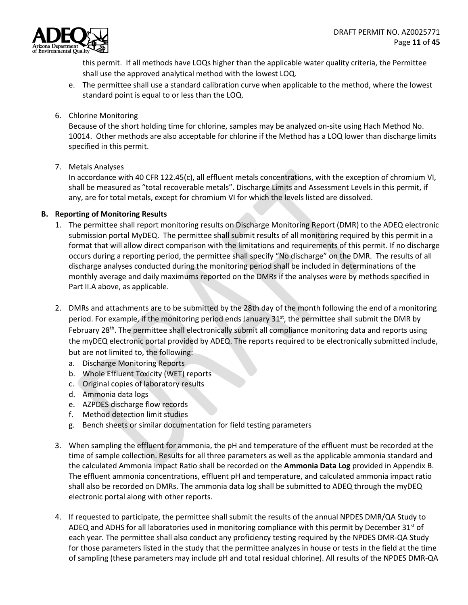

this permit. If all methods have LOQs higher than the applicable water quality criteria, the Permittee shall use the approved analytical method with the lowest LOQ.

e. The permittee shall use a standard calibration curve when applicable to the method, where the lowest standard point is equal to or less than the LOQ.

# 6. Chlorine Monitoring

Because of the short holding time for chlorine, samples may be analyzed on-site using Hach Method No. 10014. Other methods are also acceptable for chlorine if the Method has a LOQ lower than discharge limits specified in this permit.

## 7. Metals Analyses

In accordance with 40 CFR 122.45(c), all effluent metals concentrations, with the exception of chromium VI, shall be measured as "total recoverable metals". Discharge Limits and Assessment Levels in this permit, if any, are for total metals, except for chromium VI for which the levels listed are dissolved.

## <span id="page-10-0"></span>**B. Reporting of Monitoring Results**

- 1. The permittee shall report monitoring results on Discharge Monitoring Report (DMR) to the ADEQ electronic submission portal MyDEQ. The permittee shall submit results of all monitoring required by this permit in a format that will allow direct comparison with the limitations and requirements of this permit. If no discharge occurs during a reporting period, the permittee shall specify "No discharge" on the DMR. The results of all discharge analyses conducted during the monitoring period shall be included in determinations of the monthly average and daily maximums reported on the DMRs if the analyses were by methods specified in Part II.A above, as applicable.
- 2. DMRs and attachments are to be submitted by the 28th day of the month following the end of a monitoring period. For example, if the monitoring period ends January 31<sup>st</sup>, the permittee shall submit the DMR by February 28th. The permittee shall electronically submit all compliance monitoring data and reports using the myDEQ electronic portal provided by ADEQ. The reports required to be electronically submitted include, but are not limited to, the following:
	- a. Discharge Monitoring Reports
	- b. Whole Effluent Toxicity (WET) reports
	- c. Original copies of laboratory results
	- d. Ammonia data logs
	- e. AZPDES discharge flow records
	- f. Method detection limit studies
	- g. Bench sheets or similar documentation for field testing parameters
- 3. When sampling the effluent for ammonia, the pH and temperature of the effluent must be recorded at the time of sample collection. Results for all three parameters as well as the applicable ammonia standard and the calculated Ammonia Impact Ratio shall be recorded on the **Ammonia Data Log** provided in Appendix B. The effluent ammonia concentrations, effluent pH and temperature, and calculated ammonia impact ratio shall also be recorded on DMRs. The ammonia data log shall be submitted to ADEQ through the myDEQ electronic portal along with other reports.
- 4. If requested to participate, the permittee shall submit the results of the annual NPDES DMR/QA Study to ADEQ and ADHS for all laboratories used in monitoring compliance with this permit by December  $31<sup>st</sup>$  of each year. The permittee shall also conduct any proficiency testing required by the NPDES DMR-QA Study for those parameters listed in the study that the permittee analyzes in house or tests in the field at the time of sampling (these parameters may include pH and total residual chlorine). All results of the NPDES DMR-QA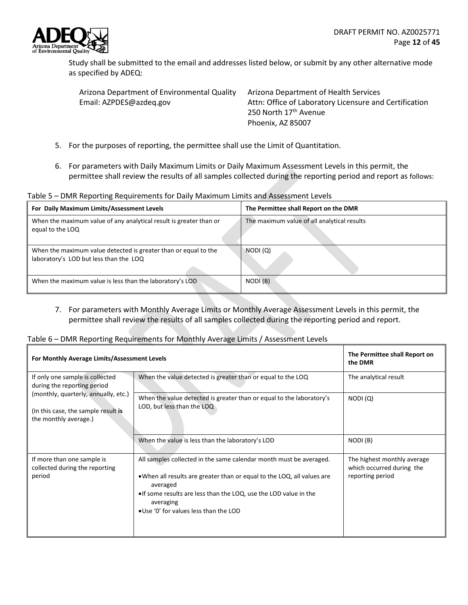

Study shall be submitted to the email and addresses listed below, or submit by any other alternative mode as specified by ADEQ:

| Arizona Department of Environmental Quality | Arizona Department of Health Services                  |
|---------------------------------------------|--------------------------------------------------------|
| Email: AZPDES@azdeg.gov                     | Attn: Office of Laboratory Licensure and Certification |
|                                             | 250 North 17 <sup>th</sup> Avenue                      |
|                                             | Phoenix, AZ 85007                                      |

- 5. For the purposes of reporting, the permittee shall use the Limit of Quantitation.
- 6. For parameters with Daily Maximum Limits or Daily Maximum Assessment Levels in this permit, the permittee shall review the results of all samples collected during the reporting period and report as follows:

| For Daily Maximum Limits/Assessment Levels                                                                | The Permittee shall Report on the DMR       |
|-----------------------------------------------------------------------------------------------------------|---------------------------------------------|
| When the maximum value of any analytical result is greater than or<br>equal to the LOQ                    | The maximum value of all analytical results |
| When the maximum value detected is greater than or equal to the<br>laboratory's LOD but less than the LOQ | NODI (Q)                                    |
| When the maximum value is less than the laboratory's LOD                                                  | NODI (B)                                    |

7. For parameters with Monthly Average Limits or Monthly Average Assessment Levels in this permit, the permittee shall review the results of all samples collected during the reporting period and report.

#### Table 6 – DMR Reporting Requirements for Monthly Average Limits / Assessment Levels

| For Monthly Average Limits/Assessment Levels                                                         |                                                                                                                                                                                                                                                                                       | The Permittee shall Report on<br>the DMR                                     |
|------------------------------------------------------------------------------------------------------|---------------------------------------------------------------------------------------------------------------------------------------------------------------------------------------------------------------------------------------------------------------------------------------|------------------------------------------------------------------------------|
| If only one sample is collected<br>during the reporting period                                       | When the value detected is greater than or equal to the LOQ                                                                                                                                                                                                                           | The analytical result                                                        |
| (monthly, quarterly, annually, etc.)<br>(In this case, the sample result is<br>the monthly average.) | When the value detected is greater than or equal to the laboratory's<br>LOD, but less than the LOQ                                                                                                                                                                                    | NODI(Q)                                                                      |
|                                                                                                      | When the value is less than the laboratory's LOD                                                                                                                                                                                                                                      | NODI(B)                                                                      |
| If more than one sample is<br>collected during the reporting<br>period                               | All samples collected in the same calendar month must be averaged.<br>. When all results are greater than or equal to the LOQ, all values are<br>averaged<br>• If some results are less than the LOQ, use the LOD value in the<br>averaging<br>● Use '0' for values less than the LOD | The highest monthly average<br>which occurred during the<br>reporting period |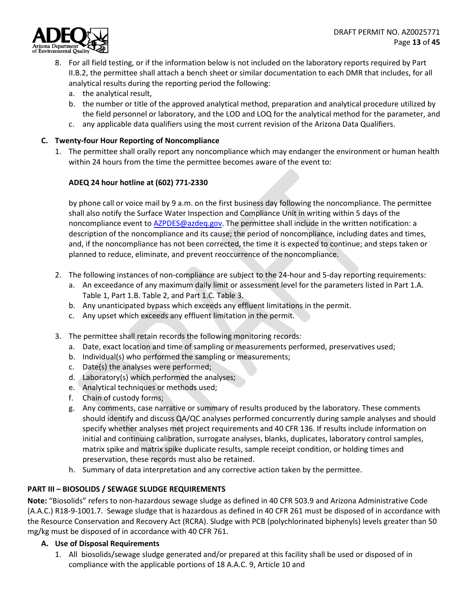

- 8. For all field testing, or if the information below is not included on the laboratory reports required by Part II.B.2, the permittee shall attach a bench sheet or similar documentation to each DMR that includes, for all analytical results during the reporting period the following:
	- a. the analytical result,
	- b. the number or title of the approved analytical method, preparation and analytical procedure utilized by the field personnel or laboratory, and the LOD and LOQ for the analytical method for the parameter, and
	- c. any applicable data qualifiers using the most current revision of the Arizona Data Qualifiers.

# <span id="page-12-0"></span>**C. Twenty-four Hour Reporting of Noncompliance**

1. The permittee shall orally report any noncompliance which may endanger the environment or human health within 24 hours from the time the permittee becomes aware of the event to:

# **ADEQ 24 hour hotline at (602) 771-2330**

by phone call or voice mail by 9 a.m. on the first business day following the noncompliance. The permittee shall also notify the Surface Water Inspection and Compliance Unit in writing within 5 days of the noncompliance event to [AZPDES@azdeq.gov.](mailto:AZPDES@azdeq.gov) The permittee shall include in the written notification: a description of the noncompliance and its cause; the period of noncompliance, including dates and times, and, if the noncompliance has not been corrected, the time it is expected to continue; and steps taken or planned to reduce, eliminate, and prevent reoccurrence of the noncompliance.

- 2. The following instances of non-compliance are subject to the 24-hour and 5-day reporting requirements:
	- a. An exceedance of any maximum daily limit or assessment level for the parameters listed in Part 1.A. Table 1, Part 1.B. Table 2, and Part 1.C. Table 3.
	- b. Any unanticipated bypass which exceeds any effluent limitations in the permit.
	- c. Any upset which exceeds any effluent limitation in the permit.
- 3. The permittee shall retain records the following monitoring records:
	- a. Date, exact location and time of sampling or measurements performed, preservatives used;
	- b. Individual(s) who performed the sampling or measurements;
	- c. Date(s) the analyses were performed;
	- d. Laboratory(s) which performed the analyses;
	- e. Analytical techniques or methods used;
	- f. Chain of custody forms;
	- g. Any comments, case narrative or summary of results produced by the laboratory. These comments should identify and discuss QA/QC analyses performed concurrently during sample analyses and should specify whether analyses met project requirements and 40 CFR 136. If results include information on initial and continuing calibration, surrogate analyses, blanks, duplicates, laboratory control samples, matrix spike and matrix spike duplicate results, sample receipt condition, or holding times and preservation, these records must also be retained.
	- h. Summary of data interpretation and any corrective action taken by the permittee.

# <span id="page-12-1"></span>**PART III – BIOSOLIDS / SEWAGE SLUDGE REQUIREMENTS**

**Note:** "Biosolids" refers to non-hazardous sewage sludge as defined in 40 CFR 503.9 and Arizona Administrative Code (A.A.C.) R18-9-1001.7. Sewage sludge that is hazardous as defined in 40 CFR 261 must be disposed of in accordance with the Resource Conservation and Recovery Act (RCRA). Sludge with PCB (polychlorinated biphenyls) levels greater than 50 mg/kg must be disposed of in accordance with 40 CFR 761.

- <span id="page-12-2"></span>**A. Use of Disposal Requirements**
	- 1. All biosolids/sewage sludge generated and/or prepared at this facility shall be used or disposed of in compliance with the applicable portions of 18 A.A.C. 9, Article 10 and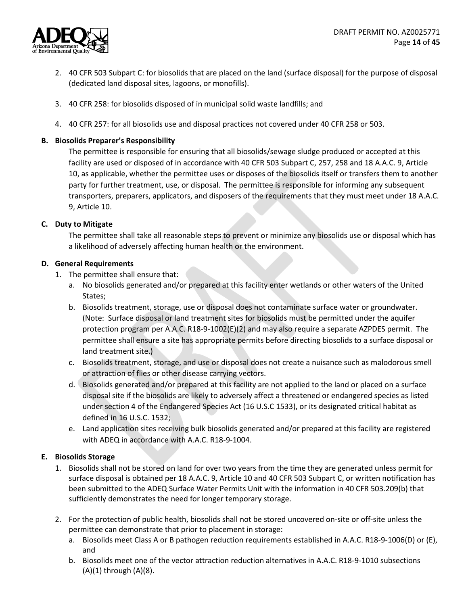

- 2. 40 CFR 503 Subpart C: for biosolids that are placed on the land (surface disposal) for the purpose of disposal (dedicated land disposal sites, lagoons, or monofills).
- 3. 40 CFR 258: for biosolids disposed of in municipal solid waste landfills; and
- 4. 40 CFR 257: for all biosolids use and disposal practices not covered under 40 CFR 258 or 503.

# <span id="page-13-0"></span>**B. Biosolids Preparer's Responsibility**

The permittee is responsible for ensuring that all biosolids/sewage sludge produced or accepted at this facility are used or disposed of in accordance with 40 CFR 503 Subpart C, 257, 258 and 18 A.A.C. 9, Article 10, as applicable, whether the permittee uses or disposes of the biosolids itself or transfers them to another party for further treatment, use, or disposal. The permittee is responsible for informing any subsequent transporters, preparers, applicators, and disposers of the requirements that they must meet under 18 A.A.C. 9, Article 10.

# <span id="page-13-1"></span>**C. Duty to Mitigate**

The permittee shall take all reasonable steps to prevent or minimize any biosolids use or disposal which has a likelihood of adversely affecting human health or the environment.

## <span id="page-13-2"></span>**D. General Requirements**

- 1. The permittee shall ensure that:
	- a. No biosolids generated and/or prepared at this facility enter wetlands or other waters of the United States;
	- b. Biosolids treatment, storage, use or disposal does not contaminate surface water or groundwater. (Note: Surface disposal or land treatment sites for biosolids must be permitted under the aquifer protection program per A.A.C. R18-9-1002(E)(2) and may also require a separate AZPDES permit. The permittee shall ensure a site has appropriate permits before directing biosolids to a surface disposal or land treatment site.)
	- c. Biosolids treatment, storage, and use or disposal does not create a nuisance such as malodorous smell or attraction of flies or other disease carrying vectors.
	- d. Biosolids generated and/or prepared at this facility are not applied to the land or placed on a surface disposal site if the biosolids are likely to adversely affect a threatened or endangered species as listed under section 4 of the Endangered Species Act (16 U.S.C 1533), or its designated critical habitat as defined in 16 U.S.C. 1532;
	- e. Land application sites receiving bulk biosolids generated and/or prepared at this facility are registered with ADEQ in accordance with A.A.C. R18-9-1004.

# <span id="page-13-3"></span>**E. Biosolids Storage**

- 1. Biosolids shall not be stored on land for over two years from the time they are generated unless permit for surface disposal is obtained per 18 A.A.C. 9, Article 10 and 40 CFR 503 Subpart C, or written notification has been submitted to the ADEQ Surface Water Permits Unit with the information in 40 CFR 503.209(b) that sufficiently demonstrates the need for longer temporary storage.
- 2. For the protection of public health, biosolids shall not be stored uncovered on-site or off-site unless the permittee can demonstrate that prior to placement in storage:
	- a. Biosolids meet Class A or B pathogen reduction requirements established in A.A.C. R18-9-1006(D) or (E), and
	- b. Biosolids meet one of the vector attraction reduction alternatives in A.A.C. R18-9-1010 subsections (A)(1) through (A)(8).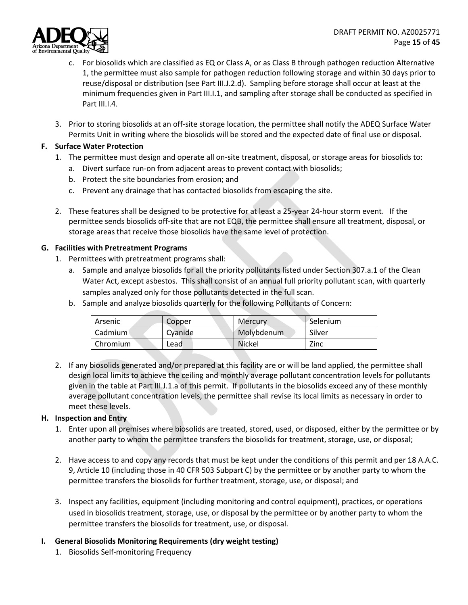

- c. For biosolids which are classified as EQ or Class A, or as Class B through pathogen reduction Alternative 1, the permittee must also sample for pathogen reduction following storage and within 30 days prior to reuse/disposal or distribution (see Part III.J.2.d). Sampling before storage shall occur at least at the minimum frequencies given in Part III.I.1, and sampling after storage shall be conducted as specified in Part III.I.4.
- 3. Prior to storing biosolids at an off-site storage location, the permittee shall notify the ADEQ Surface Water Permits Unit in writing where the biosolids will be stored and the expected date of final use or disposal.

## <span id="page-14-0"></span>**F. Surface Water Protection**

- 1. The permittee must design and operate all on-site treatment, disposal, or storage areas for biosolids to:
	- a. Divert surface run-on from adjacent areas to prevent contact with biosolids;
	- b. Protect the site boundaries from erosion; and
	- c. Prevent any drainage that has contacted biosolids from escaping the site.
- 2. These features shall be designed to be protective for at least a 25-year 24-hour storm event. If the permittee sends biosolids off-site that are not EQB, the permittee shall ensure all treatment, disposal, or storage areas that receive those biosolids have the same level of protection.

## <span id="page-14-1"></span>**G. Facilities with Pretreatment Programs**

- 1. Permittees with pretreatment programs shall:
	- a. Sample and analyze biosolids for all the priority pollutants listed under Section 307.a.1 of the Clean Water Act, except asbestos. This shall consist of an annual full priority pollutant scan, with quarterly samples analyzed only for those pollutants detected in the full scan.
	- b. Sample and analyze biosolids quarterly for the following Pollutants of Concern:

| Arsenic  | Copper  | Mercury       | Selenium |
|----------|---------|---------------|----------|
| Cadmium  | Cyanide | Molybdenum    | Silver   |
| Chromium | Lead    | <b>Nickel</b> | Zinc     |

2. If any biosolids generated and/or prepared at this facility are or will be land applied, the permittee shall design local limits to achieve the ceiling and monthly average pollutant concentration levels for pollutants given in the table at Part III.J.1.a of this permit. If pollutants in the biosolids exceed any of these monthly average pollutant concentration levels, the permittee shall revise its local limits as necessary in order to meet these levels.

#### <span id="page-14-2"></span>**H. Inspection and Entry**

- 1. Enter upon all premises where biosolids are treated, stored, used, or disposed, either by the permittee or by another party to whom the permittee transfers the biosolids for treatment, storage, use, or disposal;
- 2. Have access to and copy any records that must be kept under the conditions of this permit and per 18 A.A.C. 9, Article 10 (including those in 40 CFR 503 Subpart C) by the permittee or by another party to whom the permittee transfers the biosolids for further treatment, storage, use, or disposal; and
- 3. Inspect any facilities, equipment (including monitoring and control equipment), practices, or operations used in biosolids treatment, storage, use, or disposal by the permittee or by another party to whom the permittee transfers the biosolids for treatment, use, or disposal.
- <span id="page-14-3"></span>**I. General Biosolids Monitoring Requirements (dry weight testing)**
	- 1. Biosolids Self-monitoring Frequency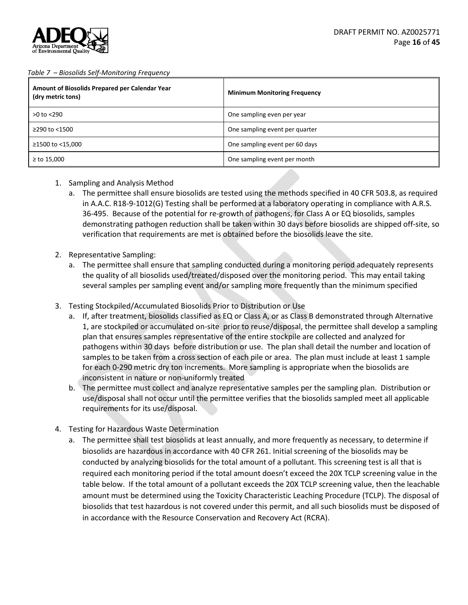

#### *Table 7 – Biosolids Self-Monitoring Frequency*

| Amount of Biosolids Prepared per Calendar Year<br>(dry metric tons) | <b>Minimum Monitoring Frequency</b> |
|---------------------------------------------------------------------|-------------------------------------|
| $>0$ to $<$ 290                                                     | One sampling even per year          |
| ≥290 to <1500                                                       | One sampling event per quarter      |
| ≥1500 to <15,000                                                    | One sampling event per 60 days      |
| $\geq$ to 15,000                                                    | One sampling event per month        |

#### 1. Sampling and Analysis Method

- a. The permittee shall ensure biosolids are tested using the methods specified in 40 CFR 503.8, as required in A.A.C. R18-9-1012(G) Testing shall be performed at a laboratory operating in compliance with A.R.S. 36-495. Because of the potential for re-growth of pathogens, for Class A or EQ biosolids, samples demonstrating pathogen reduction shall be taken within 30 days before biosolids are shipped off-site, so verification that requirements are met is obtained before the biosolids leave the site.
- 2. Representative Sampling:
	- a. The permittee shall ensure that sampling conducted during a monitoring period adequately represents the quality of all biosolids used/treated/disposed over the monitoring period. This may entail taking several samples per sampling event and/or sampling more frequently than the minimum specified
- 3. Testing Stockpiled/Accumulated Biosolids Prior to Distribution or Use
	- a. If, after treatment, biosolids classified as EQ or Class A, or as Class B demonstrated through Alternative 1, are stockpiled or accumulated on-site prior to reuse/disposal, the permittee shall develop a sampling plan that ensures samples representative of the entire stockpile are collected and analyzed for pathogens within 30 days before distribution or use. The plan shall detail the number and location of samples to be taken from a cross section of each pile or area. The plan must include at least 1 sample for each 0-290 metric dry ton increments. More sampling is appropriate when the biosolids are inconsistent in nature or non-uniformly treated
	- b. The permittee must collect and analyze representative samples per the sampling plan. Distribution or use/disposal shall not occur until the permittee verifies that the biosolids sampled meet all applicable requirements for its use/disposal.
- 4. Testing for Hazardous Waste Determination
	- a. The permittee shall test biosolids at least annually, and more frequently as necessary, to determine if biosolids are hazardous in accordance with 40 CFR 261. Initial screening of the biosolids may be conducted by analyzing biosolids for the total amount of a pollutant. This screening test is all that is required each monitoring period if the total amount doesn't exceed the 20X TCLP screening value in the table below. If the total amount of a pollutant exceeds the 20X TCLP screening value, then the leachable amount must be determined using the Toxicity Characteristic Leaching Procedure (TCLP). The disposal of biosolids that test hazardous is not covered under this permit, and all such biosolids must be disposed of in accordance with the Resource Conservation and Recovery Act (RCRA).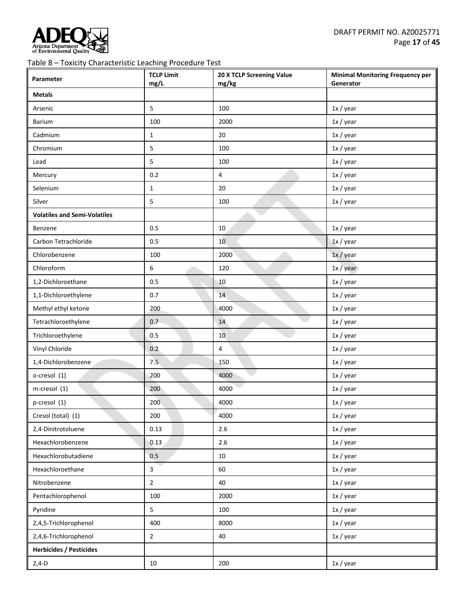

Table 8 – Toxicity Characteristic Leaching Procedure Test

| Parameter                           | <b>TCLP Limit</b><br>mg/L | 20 X TCLP Screening Value<br>mg/kg | <b>Minimal Monitoring Frequency per</b><br>Generator |
|-------------------------------------|---------------------------|------------------------------------|------------------------------------------------------|
| <b>Metals</b>                       |                           |                                    |                                                      |
| Arsenic                             | 5                         | 100                                | 1x / year                                            |
| Barium                              | 100                       | 2000                               | 1x / year                                            |
| Cadmium                             | $\mathbf{1}$              | 20                                 | 1x / year                                            |
| Chromium                            | 5                         | 100                                | 1x / year                                            |
| Lead                                | 5                         | 100                                | 1x / year                                            |
| Mercury                             | 0.2                       | 4                                  | 1x / year                                            |
| Selenium                            | $\mathbf{1}$              | 20                                 | 1x / year                                            |
| Silver                              | 5                         | 100                                | 1x / year                                            |
| <b>Volatiles and Semi-Volatiles</b> |                           |                                    |                                                      |
| Benzene                             | 0.5                       | $10\,$                             | 1x / year                                            |
| Carbon Tetrachloride                | 0.5                       | 10                                 | 1x / year                                            |
| Chlorobenzene                       | 100                       | 2000                               | 1x / year                                            |
| Chloroform                          | 6                         | 120                                | 1x / year                                            |
| 1,2-Dichloroethane                  | 0.5                       | 10                                 | 1x / year                                            |
| 1,1-Dichloroethylene                | 0.7                       | 14                                 | 1x / year                                            |
| Methyl ethyl ketone                 | 200                       | 4000                               | 1x / year                                            |
| Tetrachloroethylene                 | 0.7                       | 14                                 | 1x / year                                            |
| Trichloroethylene                   | 0.5                       | 10                                 | 1x / year                                            |
| Vinyl Chloride                      | 0.2                       | 4                                  | 1x / year                                            |
| 1,4-Dichlorobenzene                 | 7.5                       | 150                                | 1x / year                                            |
| o-cresol (1)                        | 200                       | 4000                               | 1x / year                                            |
| m-cresol (1)                        | 200                       | 4000                               | 1x / year                                            |
| p-cresol (1)                        | 200                       | 4000                               | 1x / year                                            |
| Cresol (total) (1)                  | 200                       | 4000                               | 1x / year                                            |
| 2,4-Dinitrotoluene                  | 0.13                      | 2.6                                | 1x / year                                            |
| Hexachlorobenzene                   | 0.13                      | 2.6                                | 1x / year                                            |
| Hexachlorobutadiene                 | 0.5                       | 10                                 | 1x / year                                            |
| Hexachloroethane                    | 3                         | 60                                 | 1x / year                                            |
| Nitrobenzene                        | $\overline{2}$            | 40                                 | 1x / year                                            |
| Pentachlorophenol                   | 100                       | 2000                               | 1x / year                                            |
| Pyridine                            | 5                         | 100                                | 1x / year                                            |
| 2,4,5-Trichlorophenol               | 400                       | 8000                               | 1x / year                                            |
| 2,4,6-Trichlorophenol               | $\overline{2}$            | $40\,$                             | 1x / year                                            |
| <b>Herbicides / Pesticides</b>      |                           |                                    |                                                      |
| $2,4-D$                             | $10\,$                    | 200                                | 1x / year                                            |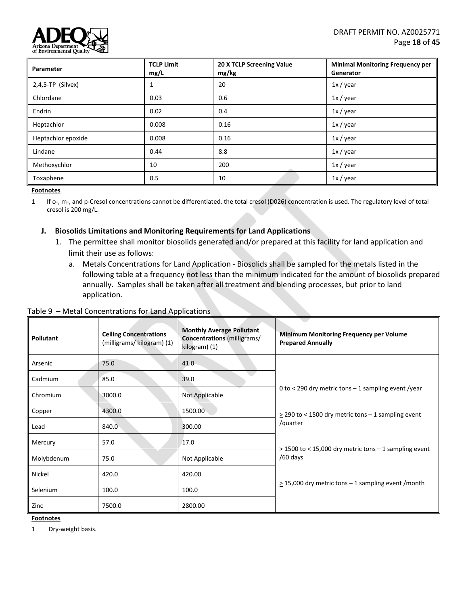

| Parameter            | <b>TCLP Limit</b><br>mg/L | 20 X TCLP Screening Value<br>mg/kg | <b>Minimal Monitoring Frequency per</b><br>Generator |
|----------------------|---------------------------|------------------------------------|------------------------------------------------------|
| $2,4,5$ -TP (Silvex) |                           | 20                                 | 1x / year                                            |
| Chlordane            | 0.03                      | 0.6                                | 1x / year                                            |
| Endrin               | 0.02                      | 0.4                                | 1x / year                                            |
| Heptachlor           | 0.008                     | 0.16                               | 1x / year                                            |
| Heptachlor epoxide   | 0.008                     | 0.16                               | 1x / year                                            |
| Lindane              | 0.44                      | 8.8                                | 1x/year                                              |
| Methoxychlor         | 10                        | 200                                | 1x / year                                            |
| Toxaphene            | 0.5                       | 10                                 | 1x / year                                            |

#### **Footnotes**

1 If o-, m-, and p-Cresol concentrations cannot be differentiated, the total cresol (D026) concentration is used. The regulatory level of total cresol is 200 mg/L.

#### <span id="page-17-0"></span>**J. Biosolids Limitations and Monitoring Requirements for Land Applications**

- 1. The permittee shall monitor biosolids generated and/or prepared at this facility for land application and limit their use as follows:
	- a. Metals Concentrations for Land Application Biosolids shall be sampled for the metals listed in the following table at a frequency not less than the minimum indicated for the amount of biosolids prepared annually. Samples shall be taken after all treatment and blending processes, but prior to land application.

#### Table 9 – Metal Concentrations for Land Applications

| <b>Pollutant</b> | <b>Ceiling Concentrations</b><br>(milligrams/kilogram) (1) | <b>Monthly Average Pollutant</b><br><b>Concentrations</b> (milligrams/<br>kilogram) (1) | <b>Minimum Monitoring Frequency per Volume</b><br><b>Prepared Annually</b> |
|------------------|------------------------------------------------------------|-----------------------------------------------------------------------------------------|----------------------------------------------------------------------------|
| Arsenic          | 75.0                                                       | 41.0                                                                                    |                                                                            |
| Cadmium          | 85.0                                                       | 39.0                                                                                    |                                                                            |
| Chromium         | 3000.0                                                     | Not Applicable                                                                          | 0 to $<$ 290 dry metric tons $-1$ sampling event /year                     |
| Copper           | 4300.0                                                     | 1500.00                                                                                 | $>$ 290 to < 1500 dry metric tons $-$ 1 sampling event                     |
| Lead             | 840.0                                                      | 300.00                                                                                  | /quarter                                                                   |
| Mercury          | 57.0                                                       | 17.0                                                                                    | $>$ 1500 to < 15,000 dry metric tons – 1 sampling event                    |
| Molybdenum       | 75.0                                                       | Not Applicable                                                                          | /60 days                                                                   |
| Nickel           | 420.0                                                      | 420.00                                                                                  |                                                                            |
| Selenium         | 100.0                                                      | 100.0                                                                                   | $\geq$ 15,000 dry metric tons – 1 sampling event /month                    |
| Zinc             | 7500.0                                                     | 2800.00                                                                                 |                                                                            |

**Footnotes**

1 Dry-weight basis.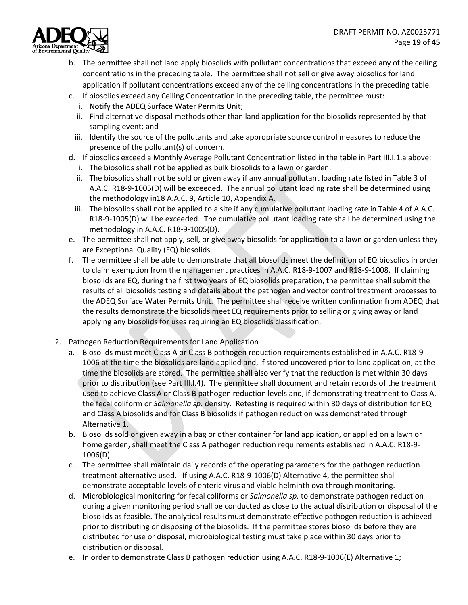

- b. The permittee shall not land apply biosolids with pollutant concentrations that exceed any of the ceiling concentrations in the preceding table. The permittee shall not sell or give away biosolids for land application if pollutant concentrations exceed any of the ceiling concentrations in the preceding table.
- c. If biosolids exceed any Ceiling Concentration in the preceding table, the permittee must:
	- i. Notify the ADEQ Surface Water Permits Unit;
	- ii. Find alternative disposal methods other than land application for the biosolids represented by that sampling event; and
	- iii. Identify the source of the pollutants and take appropriate source control measures to reduce the presence of the pollutant(s) of concern.
- d. If biosolids exceed a Monthly Average Pollutant Concentration listed in the table in Part III.I.1.a above:
	- i. The biosolids shall not be applied as bulk biosolids to a lawn or garden.
	- ii. The biosolids shall not be sold or given away if any annual pollutant loading rate listed in Table 3 of A.A.C. R18-9-1005(D) will be exceeded. The annual pollutant loading rate shall be determined using the methodology in18 A.A.C. 9, Article 10, Appendix A.
	- iii. The biosolids shall not be applied to a site if any cumulative pollutant loading rate in Table 4 of A.A.C. R18-9-1005(D) will be exceeded. The cumulative pollutant loading rate shall be determined using the methodology in A.A.C. R18-9-1005(D).
- e. The permittee shall not apply, sell, or give away biosolids for application to a lawn or garden unless they are Exceptional Quality (EQ) biosolids.
- f. The permittee shall be able to demonstrate that all biosolids meet the definition of EQ biosolids in order to claim exemption from the management practices in A.A.C. R18-9-1007 and R18-9-1008. If claiming biosolids are EQ, during the first two years of EQ biosolids preparation, the permittee shall submit the results of all biosolids testing and details about the pathogen and vector control treatment processes to the ADEQ Surface Water Permits Unit. The permittee shall receive written confirmation from ADEQ that the results demonstrate the biosolids meet EQ requirements prior to selling or giving away or land applying any biosolids for uses requiring an EQ biosolids classification.
- 2. Pathogen Reduction Requirements for Land Application
	- a. Biosolids must meet Class A or Class B pathogen reduction requirements established in A.A.C. R18-9- 1006 at the time the biosolids are land applied and, if stored uncovered prior to land application, at the time the biosolids are stored. The permittee shall also verify that the reduction is met within 30 days prior to distribution (see Part III.I.4). The permittee shall document and retain records of the treatment used to achieve Class A or Class B pathogen reduction levels and, if demonstrating treatment to Class A, the fecal coliform or *Salmonella sp*. density. Retesting is required within 30 days of distribution for EQ and Class A biosolids and for Class B biosolids if pathogen reduction was demonstrated through Alternative 1.
	- b. Biosolids sold or given away in a bag or other container for land application, or applied on a lawn or home garden, shall meet the Class A pathogen reduction requirements established in A.A.C. R18-9- 1006(D).
	- c. The permittee shall maintain daily records of the operating parameters for the pathogen reduction treatment alternative used. If using A.A.C. R18-9-1006(D) Alternative 4, the permittee shall demonstrate acceptable levels of enteric virus and viable helminth ova through monitoring.
	- d. Microbiological monitoring for fecal coliforms or *Salmonella sp.* to demonstrate pathogen reduction during a given monitoring period shall be conducted as close to the actual distribution or disposal of the biosolids as feasible. The analytical results must demonstrate effective pathogen reduction is achieved prior to distributing or disposing of the biosolids. If the permittee stores biosolids before they are distributed for use or disposal, microbiological testing must take place within 30 days prior to distribution or disposal.
	- e. In order to demonstrate Class B pathogen reduction using A.A.C. R18-9-1006(E) Alternative 1;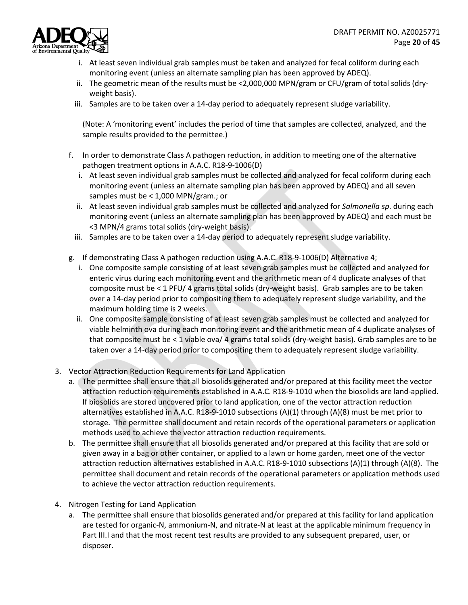

- i. At least seven individual grab samples must be taken and analyzed for fecal coliform during each monitoring event (unless an alternate sampling plan has been approved by ADEQ).
- ii. The geometric mean of the results must be <2,000,000 MPN/gram or CFU/gram of total solids (dryweight basis).
- iii. Samples are to be taken over a 14-day period to adequately represent sludge variability.

(Note: A 'monitoring event' includes the period of time that samples are collected, analyzed, and the sample results provided to the permittee.)

- f. In order to demonstrate Class A pathogen reduction, in addition to meeting one of the alternative pathogen treatment options in A.A.C. R18-9-1006(D)
	- i. At least seven individual grab samples must be collected and analyzed for fecal coliform during each monitoring event (unless an alternate sampling plan has been approved by ADEQ) and all seven samples must be < 1,000 MPN/gram.; or
	- ii. At least seven individual grab samples must be collected and analyzed for *Salmonella sp*. during each monitoring event (unless an alternate sampling plan has been approved by ADEQ) and each must be <3 MPN/4 grams total solids (dry-weight basis).
	- iii. Samples are to be taken over a 14-day period to adequately represent sludge variability.
- g. If demonstrating Class A pathogen reduction using A.A.C. R18-9-1006(D) Alternative 4;
	- i. One composite sample consisting of at least seven grab samples must be collected and analyzed for enteric virus during each monitoring event and the arithmetic mean of 4 duplicate analyses of that composite must be < 1 PFU/ 4 grams total solids (dry-weight basis). Grab samples are to be taken over a 14-day period prior to compositing them to adequately represent sludge variability, and the maximum holding time is 2 weeks.
	- ii. One composite sample consisting of at least seven grab samples must be collected and analyzed for viable helminth ova during each monitoring event and the arithmetic mean of 4 duplicate analyses of that composite must be < 1 viable ova/ 4 grams total solids (dry-weight basis). Grab samples are to be taken over a 14-day period prior to compositing them to adequately represent sludge variability.
- 3. Vector Attraction Reduction Requirements for Land Application
	- a. The permittee shall ensure that all biosolids generated and/or prepared at this facility meet the vector attraction reduction requirements established in A.A.C. R18-9-1010 when the biosolids are land-applied. If biosolids are stored uncovered prior to land application, one of the vector attraction reduction alternatives established in A.A.C. R18-9-1010 subsections (A)(1) through (A)(8) must be met prior to storage. The permittee shall document and retain records of the operational parameters or application methods used to achieve the vector attraction reduction requirements.
	- b. The permittee shall ensure that all biosolids generated and/or prepared at this facility that are sold or given away in a bag or other container, or applied to a lawn or home garden, meet one of the vector attraction reduction alternatives established in A.A.C. R18-9-1010 subsections (A)(1) through (A)(8). The permittee shall document and retain records of the operational parameters or application methods used to achieve the vector attraction reduction requirements.
- 4. Nitrogen Testing for Land Application
	- a. The permittee shall ensure that biosolids generated and/or prepared at this facility for land application are tested for organic-N, ammonium-N, and nitrate-N at least at the applicable minimum frequency in Part III.I and that the most recent test results are provided to any subsequent prepared, user, or disposer.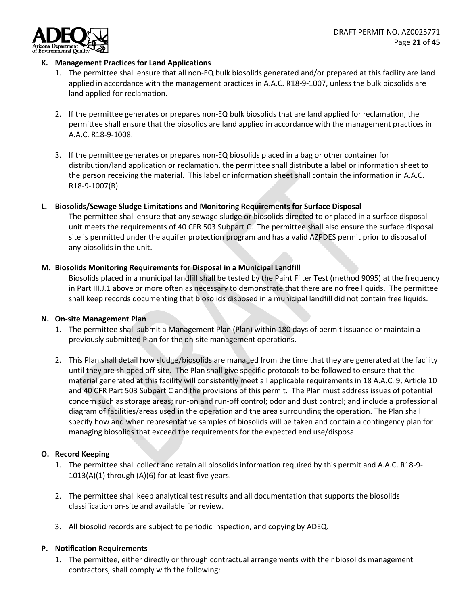

# <span id="page-20-0"></span>**K. Management Practices for Land Applications**

- 1. The permittee shall ensure that all non-EQ bulk biosolids generated and/or prepared at this facility are land applied in accordance with the management practices in A.A.C. R18-9-1007, unless the bulk biosolids are land applied for reclamation.
- 2. If the permittee generates or prepares non-EQ bulk biosolids that are land applied for reclamation, the permittee shall ensure that the biosolids are land applied in accordance with the management practices in A.A.C. R18-9-1008.
- 3. If the permittee generates or prepares non-EQ biosolids placed in a bag or other container for distribution/land application or reclamation, the permittee shall distribute a label or information sheet to the person receiving the material. This label or information sheet shall contain the information in A.A.C. R18-9-1007(B).

## <span id="page-20-1"></span>**L. Biosolids/Sewage Sludge Limitations and Monitoring Requirements for Surface Disposal**

The permittee shall ensure that any sewage sludge or biosolids directed to or placed in a surface disposal unit meets the requirements of 40 CFR 503 Subpart C. The permittee shall also ensure the surface disposal site is permitted under the aquifer protection program and has a valid AZPDES permit prior to disposal of any biosolids in the unit.

## <span id="page-20-2"></span>**M. Biosolids Monitoring Requirements for Disposal in a Municipal Landfill**

Biosolids placed in a municipal landfill shall be tested by the Paint Filter Test (method 9095) at the frequency in Part III.J.1 above or more often as necessary to demonstrate that there are no free liquids. The permittee shall keep records documenting that biosolids disposed in a municipal landfill did not contain free liquids.

#### <span id="page-20-3"></span>**N. On-site Management Plan**

- 1. The permittee shall submit a Management Plan (Plan) within 180 days of permit issuance or maintain a previously submitted Plan for the on-site management operations.
- 2. This Plan shall detail how sludge/biosolids are managed from the time that they are generated at the facility until they are shipped off-site. The Plan shall give specific protocols to be followed to ensure that the material generated at this facility will consistently meet all applicable requirements in 18 A.A.C. 9, Article 10 and 40 CFR Part 503 Subpart C and the provisions of this permit. The Plan must address issues of potential concern such as storage areas; run-on and run-off control; odor and dust control; and include a professional diagram of facilities/areas used in the operation and the area surrounding the operation. The Plan shall specify how and when representative samples of biosolids will be taken and contain a contingency plan for managing biosolids that exceed the requirements for the expected end use/disposal.

# <span id="page-20-4"></span>**O. Record Keeping**

- 1. The permittee shall collect and retain all biosolids information required by this permit and A.A.C. R18-9- 1013(A)(1) through (A)(6) for at least five years.
- 2. The permittee shall keep analytical test results and all documentation that supports the biosolids classification on-site and available for review.
- 3. All biosolid records are subject to periodic inspection, and copying by ADEQ.

# <span id="page-20-5"></span>**P. Notification Requirements**

1. The permittee, either directly or through contractual arrangements with their biosolids management contractors, shall comply with the following: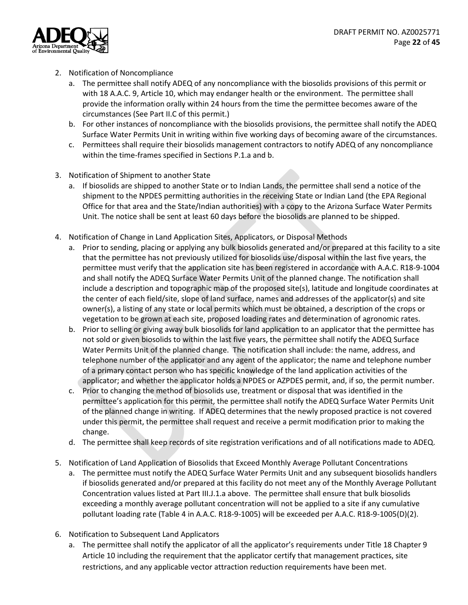- 2. Notification of Noncompliance
	- a. The permittee shall notify ADEQ of any noncompliance with the biosolids provisions of this permit or with 18 A.A.C. 9, Article 10, which may endanger health or the environment. The permittee shall provide the information orally within 24 hours from the time the permittee becomes aware of the circumstances (See Part II.C of this permit.)
	- b. For other instances of noncompliance with the biosolids provisions, the permittee shall notify the ADEQ Surface Water Permits Unit in writing within five working days of becoming aware of the circumstances.
	- c. Permittees shall require their biosolids management contractors to notify ADEQ of any noncompliance within the time-frames specified in Sections P.1.a and b.
- 3. Notification of Shipment to another State
	- a. If biosolids are shipped to another State or to Indian Lands, the permittee shall send a notice of the shipment to the NPDES permitting authorities in the receiving State or Indian Land (the EPA Regional Office for that area and the State/Indian authorities) with a copy to the Arizona Surface Water Permits Unit. The notice shall be sent at least 60 days before the biosolids are planned to be shipped.
- 4. Notification of Change in Land Application Sites, Applicators, or Disposal Methods
	- a. Prior to sending, placing or applying any bulk biosolids generated and/or prepared at this facility to a site that the permittee has not previously utilized for biosolids use/disposal within the last five years, the permittee must verify that the application site has been registered in accordance with A.A.C. R18-9-1004 and shall notify the ADEQ Surface Water Permits Unit of the planned change. The notification shall include a description and topographic map of the proposed site(s), latitude and longitude coordinates at the center of each field/site, slope of land surface, names and addresses of the applicator(s) and site owner(s), a listing of any state or local permits which must be obtained, a description of the crops or vegetation to be grown at each site, proposed loading rates and determination of agronomic rates.
	- b. Prior to selling or giving away bulk biosolids for land application to an applicator that the permittee has not sold or given biosolids to within the last five years, the permittee shall notify the ADEQ Surface Water Permits Unit of the planned change. The notification shall include: the name, address, and telephone number of the applicator and any agent of the applicator; the name and telephone number of a primary contact person who has specific knowledge of the land application activities of the applicator; and whether the applicator holds a NPDES or AZPDES permit, and, if so, the permit number.
	- c. Prior to changing the method of biosolids use, treatment or disposal that was identified in the permittee's application for this permit, the permittee shall notify the ADEQ Surface Water Permits Unit of the planned change in writing. If ADEQ determines that the newly proposed practice is not covered under this permit, the permittee shall request and receive a permit modification prior to making the change.
	- d. The permittee shall keep records of site registration verifications and of all notifications made to ADEQ.
- 5. Notification of Land Application of Biosolids that Exceed Monthly Average Pollutant Concentrations
	- a. The permittee must notify the ADEQ Surface Water Permits Unit and any subsequent biosolids handlers if biosolids generated and/or prepared at this facility do not meet any of the Monthly Average Pollutant Concentration values listed at Part III.J.1.a above. The permittee shall ensure that bulk biosolids exceeding a monthly average pollutant concentration will not be applied to a site if any cumulative pollutant loading rate (Table 4 in A.A.C. R18-9-1005) will be exceeded per A.A.C. R18-9-1005(D)(2).
- 6. Notification to Subsequent Land Applicators
	- a. The permittee shall notify the applicator of all the applicator's requirements under Title 18 Chapter 9 Article 10 including the requirement that the applicator certify that management practices, site restrictions, and any applicable vector attraction reduction requirements have been met.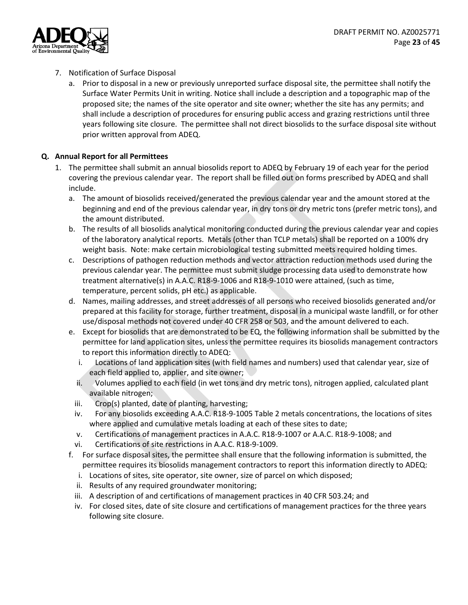

# 7. Notification of Surface Disposal

a. Prior to disposal in a new or previously unreported surface disposal site, the permittee shall notify the Surface Water Permits Unit in writing. Notice shall include a description and a topographic map of the proposed site; the names of the site operator and site owner; whether the site has any permits; and shall include a description of procedures for ensuring public access and grazing restrictions until three years following site closure. The permittee shall not direct biosolids to the surface disposal site without prior written approval from ADEQ.

# <span id="page-22-0"></span>**Q. Annual Report for all Permittees**

- 1. The permittee shall submit an annual biosolids report to ADEQ by February 19 of each year for the period covering the previous calendar year. The report shall be filled out on forms prescribed by ADEQ and shall include.
	- a. The amount of biosolids received/generated the previous calendar year and the amount stored at the beginning and end of the previous calendar year, in dry tons or dry metric tons (prefer metric tons), and the amount distributed.
	- b. The results of all biosolids analytical monitoring conducted during the previous calendar year and copies of the laboratory analytical reports. Metals (other than TCLP metals) shall be reported on a 100% dry weight basis. Note: make certain microbiological testing submitted meets required holding times.
	- c. Descriptions of pathogen reduction methods and vector attraction reduction methods used during the previous calendar year. The permittee must submit sludge processing data used to demonstrate how treatment alternative(s) in A.A.C. R18-9-1006 and R18-9-1010 were attained, (such as time, temperature, percent solids, pH etc.) as applicable.
	- d. Names, mailing addresses, and street addresses of all persons who received biosolids generated and/or prepared at this facility for storage, further treatment, disposal in a municipal waste landfill, or for other use/disposal methods not covered under 40 CFR 258 or 503, and the amount delivered to each.
	- e. Except for biosolids that are demonstrated to be EQ, the following information shall be submitted by the permittee for land application sites, unless the permittee requires its biosolids management contractors to report this information directly to ADEQ:
		- i. Locations of land application sites (with field names and numbers) used that calendar year, size of each field applied to, applier, and site owner;
		- ii. Volumes applied to each field (in wet tons and dry metric tons), nitrogen applied, calculated plant available nitrogen;
		- iii. Crop(s) planted, date of planting, harvesting;
		- iv. For any biosolids exceeding A.A.C. R18-9-1005 Table 2 metals concentrations, the locations of sites where applied and cumulative metals loading at each of these sites to date;
		- v. Certifications of management practices in A.A.C. R18-9-1007 or A.A.C. R18-9-1008; and
		- vi. Certifications of site restrictions in A.A.C. R18-9-1009.
	- f. For surface disposal sites, the permittee shall ensure that the following information is submitted, the permittee requires its biosolids management contractors to report this information directly to ADEQ:
		- i. Locations of sites, site operator, site owner, size of parcel on which disposed;
		- ii. Results of any required groundwater monitoring;
		- iii. A description of and certifications of management practices in 40 CFR 503.24; and
		- iv. For closed sites, date of site closure and certifications of management practices for the three years following site closure.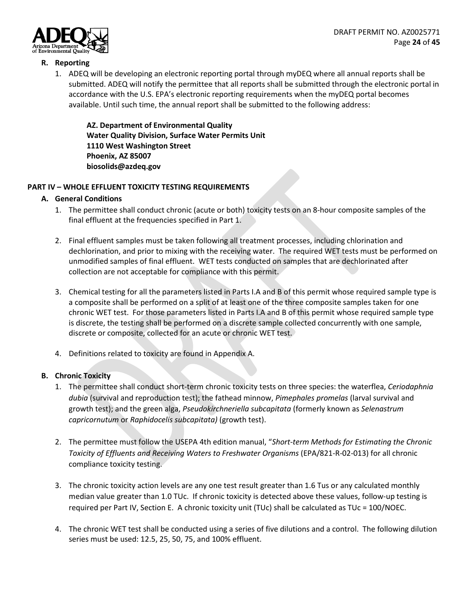

## <span id="page-23-0"></span>**R. Reporting**

1. ADEQ will be developing an electronic reporting portal through myDEQ where all annual reports shall be submitted. ADEQ will notify the permittee that all reports shall be submitted through the electronic portal in accordance with the U.S. EPA's electronic reporting requirements when the myDEQ portal becomes available. Until such time, the annual report shall be submitted to the following address:

**AZ. Department of Environmental Quality Water Quality Division, Surface Water Permits Unit 1110 West Washington Street Phoenix, AZ 85007 biosolids@azdeq.gov**

## <span id="page-23-2"></span><span id="page-23-1"></span>**PART IV – WHOLE EFFLUENT TOXICITY TESTING REQUIREMENTS**

#### **A. General Conditions**

- 1. The permittee shall conduct chronic (acute or both) toxicity tests on an 8-hour composite samples of the final effluent at the frequencies specified in Part 1.
- 2. Final effluent samples must be taken following all treatment processes, including chlorination and dechlorination, and prior to mixing with the receiving water. The required WET tests must be performed on unmodified samples of final effluent. WET tests conducted on samples that are dechlorinated after collection are not acceptable for compliance with this permit.
- 3. Chemical testing for all the parameters listed in Parts I.A and B of this permit whose required sample type is a composite shall be performed on a split of at least one of the three composite samples taken for one chronic WET test. For those parameters listed in Parts I.A and B of this permit whose required sample type is discrete, the testing shall be performed on a discrete sample collected concurrently with one sample, discrete or composite, collected for an acute or chronic WET test.
- 4. Definitions related to toxicity are found in Appendix A.

# <span id="page-23-3"></span>**B. Chronic Toxicity**

- 1. The permittee shall conduct short-term chronic toxicity tests on three species: the waterflea, *Ceriodaphnia dubia* (survival and reproduction test); the fathead minnow, *Pimephales promelas* (larval survival and growth test); and the green alga, *Pseudokirchneriella subcapitata* (formerly known as *Selenastrum capricornutum* or *Raphidocelis subcapitata)* (growth test).
- 2. The permittee must follow the USEPA 4th edition manual, "*Short-term Methods for Estimating the Chronic Toxicity of Effluents and Receiving Waters to Freshwater Organisms* (EPA/821-R-02-013) for all chronic compliance toxicity testing.
- 3. The chronic toxicity action levels are any one test result greater than 1.6 Tus or any calculated monthly median value greater than 1.0 TUc. If chronic toxicity is detected above these values, follow-up testing is required per Part IV, Section E. A chronic toxicity unit (TUc) shall be calculated as TUc = 100/NOEC.
- 4. The chronic WET test shall be conducted using a series of five dilutions and a control. The following dilution series must be used: 12.5, 25, 50, 75, and 100% effluent.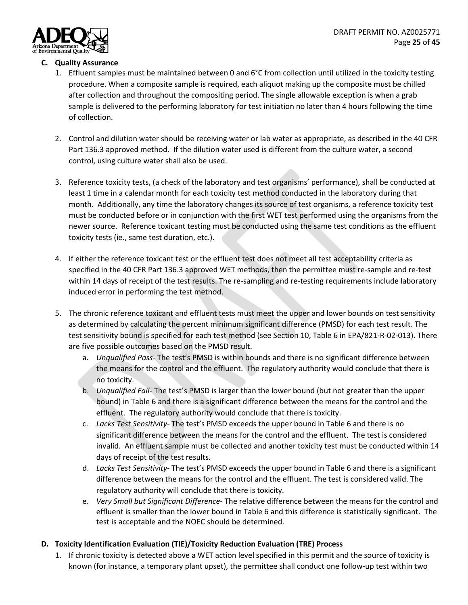

# <span id="page-24-0"></span>**C. Quality Assurance**

- 1. Effluent samples must be maintained between 0 and  $6^{\circ}$ C from collection until utilized in the toxicity testing procedure. When a composite sample is required, each aliquot making up the composite must be chilled after collection and throughout the compositing period. The single allowable exception is when a grab sample is delivered to the performing laboratory for test initiation no later than 4 hours following the time of collection.
- 2. Control and dilution water should be receiving water or lab water as appropriate, as described in the 40 CFR Part 136.3 approved method. If the dilution water used is different from the culture water, a second control, using culture water shall also be used.
- 3. Reference toxicity tests, (a check of the laboratory and test organisms' performance), shall be conducted at least 1 time in a calendar month for each toxicity test method conducted in the laboratory during that month. Additionally, any time the laboratory changes its source of test organisms, a reference toxicity test must be conducted before or in conjunction with the first WET test performed using the organisms from the newer source. Reference toxicant testing must be conducted using the same test conditions as the effluent toxicity tests (ie., same test duration, etc.).
- 4. If either the reference toxicant test or the effluent test does not meet all test acceptability criteria as specified in the 40 CFR Part 136.3 approved WET methods, then the permittee must re-sample and re-test within 14 days of receipt of the test results. The re-sampling and re-testing requirements include laboratory induced error in performing the test method.
- 5. The chronic reference toxicant and effluent tests must meet the upper and lower bounds on test sensitivity as determined by calculating the percent minimum significant difference (PMSD) for each test result. The test sensitivity bound is specified for each test method (see Section 10, Table 6 in EPA/821-R-02-013). There are five possible outcomes based on the PMSD result.
	- a. *Unqualified Pass* The test's PMSD is within bounds and there is no significant difference between the means for the control and the effluent. The regulatory authority would conclude that there is no toxicity.
	- b. *Unqualified Fail* The test's PMSD is larger than the lower bound (but not greater than the upper bound) in Table 6 and there is a significant difference between the means for the control and the effluent. The regulatory authority would conclude that there is toxicity.
	- c. *Lacks Test Sensitivity* The test's PMSD exceeds the upper bound in Table 6 and there is no significant difference between the means for the control and the effluent. The test is considered invalid. An effluent sample must be collected and another toxicity test must be conducted within 14 days of receipt of the test results.
	- d. *Lacks Test Sensitivity* The test's PMSD exceeds the upper bound in Table 6 and there is a significant difference between the means for the control and the effluent. The test is considered valid. The regulatory authority will conclude that there is toxicity.
	- e. *Very Small but Significant Difference* The relative difference between the means for the control and effluent is smaller than the lower bound in Table 6 and this difference is statistically significant. The test is acceptable and the NOEC should be determined.

# <span id="page-24-1"></span>**D. Toxicity Identification Evaluation (TIE)/Toxicity Reduction Evaluation (TRE) Process**

1. If chronic toxicity is detected above a WET action level specified in this permit and the source of toxicity is known (for instance, a temporary plant upset), the permittee shall conduct one follow-up test within two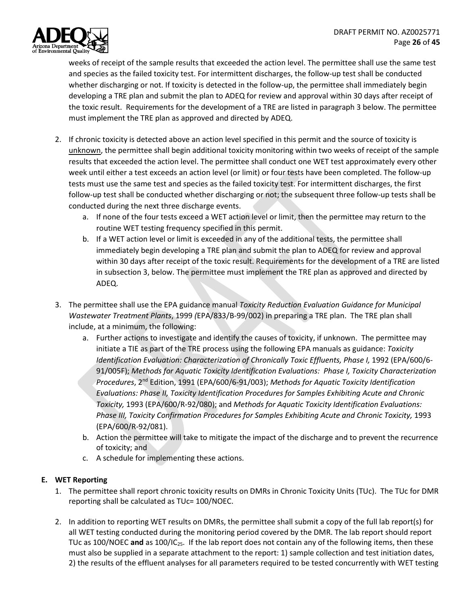

weeks of receipt of the sample results that exceeded the action level. The permittee shall use the same test and species as the failed toxicity test. For intermittent discharges, the follow-up test shall be conducted whether discharging or not. If toxicity is detected in the follow-up, the permittee shall immediately begin developing a TRE plan and submit the plan to ADEQ for review and approval within 30 days after receipt of the toxic result. Requirements for the development of a TRE are listed in paragraph 3 below. The permittee must implement the TRE plan as approved and directed by ADEQ.

- 2. If chronic toxicity is detected above an action level specified in this permit and the source of toxicity is unknown, the permittee shall begin additional toxicity monitoring within two weeks of receipt of the sample results that exceeded the action level. The permittee shall conduct one WET test approximately every other week until either a test exceeds an action level (or limit) or four tests have been completed. The follow-up tests must use the same test and species as the failed toxicity test. For intermittent discharges, the first follow-up test shall be conducted whether discharging or not; the subsequent three follow-up tests shall be conducted during the next three discharge events.
	- a. If none of the four tests exceed a WET action level or limit, then the permittee may return to the routine WET testing frequency specified in this permit.
	- b. If a WET action level or limit is exceeded in any of the additional tests, the permittee shall immediately begin developing a TRE plan and submit the plan to ADEQ for review and approval within 30 days after receipt of the toxic result. Requirements for the development of a TRE are listed in subsection 3, below. The permittee must implement the TRE plan as approved and directed by ADEQ.
- 3. The permittee shall use the EPA guidance manual *Toxicity Reduction Evaluation Guidance for Municipal Wastewater Treatment Plants*, 1999 *(*EPA/833/B-99/002) in preparing a TRE plan. The TRE plan shall include, at a minimum, the following:
	- a. Further actions to investigate and identify the causes of toxicity, if unknown. The permittee may initiate a TIE as part of the TRE process using the following EPA manuals as guidance: *Toxicity*  Identification Evaluation: Characterization of Chronically Toxic Effluents, Phase I, 1992 (EPA/600/6-91/005F); *Methods for Aquatic Toxicity Identification Evaluations: Phase I, Toxicity Characterization Procedures*, 2nd Edition, 1991 (EPA/600/6-91/003); *Methods for Aquatic Toxicity Identification Evaluations: Phase II, Toxicity Identification Procedures for Samples Exhibiting Acute and Chronic Toxicity,* 1993 (EPA/600/R-92/080); and *Methods for Aquatic Toxicity Identification Evaluations:*  Phase III, Toxicity Confirmation Procedures for Samples Exhibiting Acute and Chronic Toxicity, 1993 (EPA/600/R-92/081).
	- b. Action the permittee will take to mitigate the impact of the discharge and to prevent the recurrence of toxicity; and
	- c. A schedule for implementing these actions.

# <span id="page-25-0"></span>**E. WET Reporting**

- 1. The permittee shall report chronic toxicity results on DMRs in Chronic Toxicity Units (TUc). The TUc for DMR reporting shall be calculated as TUc= 100/NOEC.
- 2. In addition to reporting WET results on DMRs, the permittee shall submit a copy of the full lab report(s) for all WET testing conducted during the monitoring period covered by the DMR. The lab report should report TUc as 100/NOEC **and** as 100/IC25. If the lab report does not contain any of the following items, then these must also be supplied in a separate attachment to the report: 1) sample collection and test initiation dates, 2) the results of the effluent analyses for all parameters required to be tested concurrently with WET testing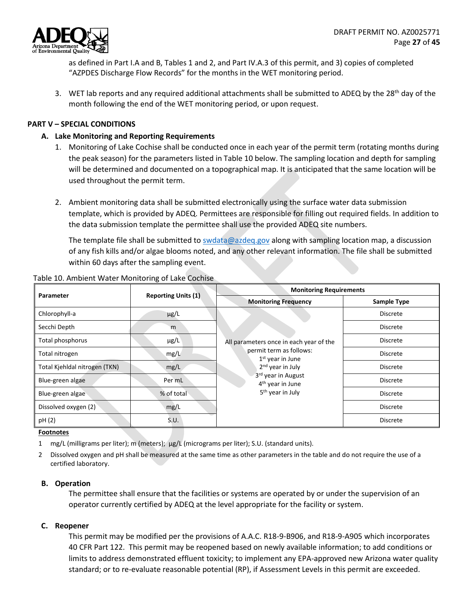

as defined in Part I.A and B, Tables 1 and 2, and Part IV.A.3 of this permit, and 3) copies of completed "AZPDES Discharge Flow Records" for the months in the WET monitoring period.

3. WET lab reports and any required additional attachments shall be submitted to ADEQ by the 28<sup>th</sup> day of the month following the end of the WET monitoring period, or upon request.

#### <span id="page-26-1"></span><span id="page-26-0"></span>**PART V – SPECIAL CONDITIONS**

#### **A. Lake Monitoring and Reporting Requirements**

- 1. Monitoring of Lake Cochise shall be conducted once in each year of the permit term (rotating months during the peak season) for the parameters listed in Table 10 below. The sampling location and depth for sampling will be determined and documented on a topographical map. It is anticipated that the same location will be used throughout the permit term.
- 2. Ambient monitoring data shall be submitted electronically using the surface water data submission template, which is provided by ADEQ. Permittees are responsible for filling out required fields. In addition to the data submission template the permittee shall use the provided ADEQ site numbers.

The template file shall be submitted t[o swdata@azdeq.gov](mailto:swdata@azdeq.gov) along with sampling location map, a discussion of any fish kills and/or algae blooms noted, and any other relevant information. The file shall be submitted within 60 days after the sampling event.

| Parameter                     | <b>Monitoring Requirements</b><br><b>Reporting Units (1)</b> |                                                    |                 |
|-------------------------------|--------------------------------------------------------------|----------------------------------------------------|-----------------|
|                               |                                                              | <b>Monitoring Frequency</b>                        | Sample Type     |
| Chlorophyll-a                 | $\mu$ g/L                                                    |                                                    | <b>Discrete</b> |
| Secchi Depth                  | m                                                            |                                                    | <b>Discrete</b> |
| Total phosphorus              | $\mu$ g/L                                                    | All parameters once in each year of the            | <b>Discrete</b> |
| Total nitrogen                | mg/L                                                         | permit term as follows:<br>$1st$ year in June      | <b>Discrete</b> |
| Total Kjehldal nitrogen (TKN) | mg/L                                                         | 2 <sup>nd</sup> year in July                       | Discrete        |
| Blue-green algae              | Per mL                                                       | 3rd year in August<br>4 <sup>th</sup> year in June | Discrete        |
| Blue-green algae              | % of total                                                   | 5 <sup>th</sup> year in July                       | <b>Discrete</b> |
| Dissolved oxygen (2)          | mg/L                                                         |                                                    | <b>Discrete</b> |
| pH (2)                        | S.U.                                                         |                                                    | <b>Discrete</b> |

#### Table 10. Ambient Water Monitoring of Lake Cochise

#### **Footnotes**

- 1 mg/L (milligrams per liter); m (meters);  $\mu$ g/L (micrograms per liter); S.U. (standard units).
- 2 Dissolved oxygen and pH shall be measured at the same time as other parameters in the table and do not require the use of a certified laboratory.

#### <span id="page-26-2"></span>**B. Operation**

The permittee shall ensure that the facilities or systems are operated by or under the supervision of an operator currently certified by ADEQ at the level appropriate for the facility or system.

#### <span id="page-26-3"></span>**C. Reopener**

This permit may be modified per the provisions of A.A.C. R18-9-B906, and R18-9-A905 which incorporates 40 CFR Part 122. This permit may be reopened based on newly available information; to add conditions or limits to address demonstrated effluent toxicity; to implement any EPA-approved new Arizona water quality standard; or to re-evaluate reasonable potential (RP), if Assessment Levels in this permit are exceeded.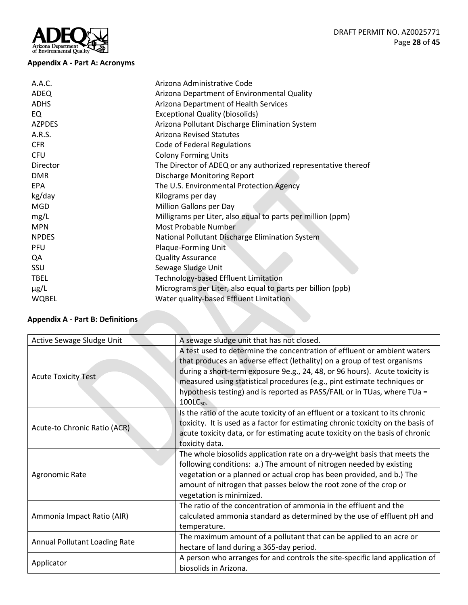# <span id="page-27-0"></span>**Appendix A - Part A: Acronyms**

Arizona Department

| A.A.C.                           | Arizona Administrative Code                                   |
|----------------------------------|---------------------------------------------------------------|
| ADEQ                             | Arizona Department of Environmental Quality                   |
| <b>ADHS</b>                      | Arizona Department of Health Services                         |
| EQ                               | <b>Exceptional Quality (biosolids)</b>                        |
| <b>AZPDES</b>                    | Arizona Pollutant Discharge Elimination System                |
| A.R.S.                           | Arizona Revised Statutes                                      |
| <b>CFR</b>                       | Code of Federal Regulations                                   |
| <b>CFU</b>                       | <b>Colony Forming Units</b>                                   |
| Director                         | The Director of ADEQ or any authorized representative thereof |
| <b>DMR</b>                       | <b>Discharge Monitoring Report</b>                            |
| <b>EPA</b>                       | The U.S. Environmental Protection Agency                      |
| kg/day                           | Kilograms per day                                             |
| <b>MGD</b>                       | Million Gallons per Day                                       |
| mg/L                             | Milligrams per Liter, also equal to parts per million (ppm)   |
| <b>MPN</b>                       | Most Probable Number                                          |
| <b>NPDES</b>                     | National Pollutant Discharge Elimination System               |
| <b>PFU</b>                       | Plaque-Forming Unit                                           |
| QA                               | <b>Quality Assurance</b>                                      |
| SSU                              | Sewage Sludge Unit                                            |
| <b>TBEL</b>                      | <b>Technology-based Effluent Limitation</b>                   |
| $\mu$ g/L                        | Micrograms per Liter, also equal to parts per billion (ppb)   |
| <b>WQBEL</b>                     | Water quality-based Effluent Limitation                       |
| Appendix A - Part B: Definitions |                                                               |
|                                  |                                                               |

# <span id="page-27-1"></span>**Appendix A - Part B: Definitions**

| Active Sewage Sludge Unit     | A sewage sludge unit that has not closed.                                        |
|-------------------------------|----------------------------------------------------------------------------------|
|                               | A test used to determine the concentration of effluent or ambient waters         |
|                               | that produces an adverse effect (lethality) on a group of test organisms         |
| <b>Acute Toxicity Test</b>    | during a short-term exposure 9e.g., 24, 48, or 96 hours). Acute toxicity is      |
|                               | measured using statistical procedures (e.g., pint estimate techniques or         |
|                               | hypothesis testing) and is reported as PASS/FAIL or in TUas, where TUa =         |
|                               | 100LC <sub>50</sub> .                                                            |
|                               | Is the ratio of the acute toxicity of an effluent or a toxicant to its chronic   |
|                               | toxicity. It is used as a factor for estimating chronic toxicity on the basis of |
| Acute-to Chronic Ratio (ACR)  | acute toxicity data, or for estimating acute toxicity on the basis of chronic    |
|                               | toxicity data.                                                                   |
|                               | The whole biosolids application rate on a dry-weight basis that meets the        |
|                               | following conditions: a.) The amount of nitrogen needed by existing              |
| Agronomic Rate                | vegetation or a planned or actual crop has been provided, and b.) The            |
|                               | amount of nitrogen that passes below the root zone of the crop or                |
|                               | vegetation is minimized.                                                         |
|                               | The ratio of the concentration of ammonia in the effluent and the                |
| Ammonia Impact Ratio (AIR)    | calculated ammonia standard as determined by the use of effluent pH and          |
|                               | temperature.                                                                     |
| Annual Pollutant Loading Rate | The maximum amount of a pollutant that can be applied to an acre or              |
|                               | hectare of land during a 365-day period.                                         |
|                               | A person who arranges for and controls the site-specific land application of     |
| Applicator                    | biosolids in Arizona.                                                            |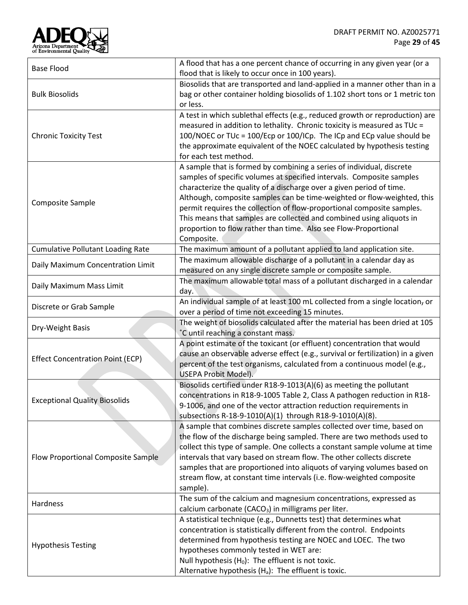

| <b>Base Flood</b>                        | A flood that has a one percent chance of occurring in any given year (or a      |
|------------------------------------------|---------------------------------------------------------------------------------|
|                                          | flood that is likely to occur once in 100 years).                               |
|                                          | Biosolids that are transported and land-applied in a manner other than in a     |
| <b>Bulk Biosolids</b>                    | bag or other container holding biosolids of 1.102 short tons or 1 metric ton    |
|                                          | or less.                                                                        |
|                                          | A test in which sublethal effects (e.g., reduced growth or reproduction) are    |
|                                          | measured in addition to lethality. Chronic toxicity is measured as TUc =        |
| <b>Chronic Toxicity Test</b>             | 100/NOEC or TUc = 100/Ecp or 100/ICp. The ICp and ECp value should be           |
|                                          | the approximate equivalent of the NOEC calculated by hypothesis testing         |
|                                          | for each test method.                                                           |
|                                          | A sample that is formed by combining a series of individual, discrete           |
|                                          | samples of specific volumes at specified intervals. Composite samples           |
|                                          | characterize the quality of a discharge over a given period of time.            |
|                                          | Although, composite samples can be time-weighted or flow-weighted, this         |
| Composite Sample                         | permit requires the collection of flow-proportional composite samples.          |
|                                          | This means that samples are collected and combined using aliquots in            |
|                                          | proportion to flow rather than time. Also see Flow-Proportional                 |
|                                          | Composite.                                                                      |
| <b>Cumulative Pollutant Loading Rate</b> | The maximum amount of a pollutant applied to land application site.             |
|                                          | The maximum allowable discharge of a pollutant in a calendar day as             |
| Daily Maximum Concentration Limit        | measured on any single discrete sample or composite sample.                     |
|                                          | The maximum allowable total mass of a pollutant discharged in a calendar        |
| Daily Maximum Mass Limit                 | day.                                                                            |
|                                          | An individual sample of at least 100 mL collected from a single location, or    |
| Discrete or Grab Sample                  | over a period of time not exceeding 15 minutes.                                 |
|                                          | The weight of biosolids calculated after the material has been dried at 105     |
| Dry-Weight Basis                         | °C until reaching a constant mass.                                              |
|                                          | A point estimate of the toxicant (or effluent) concentration that would         |
|                                          | cause an observable adverse effect (e.g., survival or fertilization) in a given |
| <b>Effect Concentration Point (ECP)</b>  | percent of the test organisms, calculated from a continuous model (e.g.,        |
|                                          | USEPA Probit Model).                                                            |
|                                          | Biosolids certified under R18-9-1013(A)(6) as meeting the pollutant             |
|                                          |                                                                                 |
| <b>Exceptional Quality Biosolids</b>     | concentrations in R18-9-1005 Table 2, Class A pathogen reduction in R18-        |
|                                          | 9-1006, and one of the vector attraction reduction requirements in              |
|                                          | subsections R-18-9-1010(A)(1) through R18-9-1010(A)(8).                         |
|                                          | A sample that combines discrete samples collected over time, based on           |
|                                          | the flow of the discharge being sampled. There are two methods used to          |
|                                          | collect this type of sample. One collects a constant sample volume at time      |
| Flow Proportional Composite Sample       | intervals that vary based on stream flow. The other collects discrete           |
|                                          | samples that are proportioned into aliquots of varying volumes based on         |
|                                          | stream flow, at constant time intervals (i.e. flow-weighted composite           |
|                                          | sample).                                                                        |
| Hardness                                 | The sum of the calcium and magnesium concentrations, expressed as               |
|                                          | calcium carbonate (CACO <sub>3</sub> ) in milligrams per liter.                 |
|                                          | A statistical technique (e.g., Dunnetts test) that determines what              |
|                                          | concentration is statistically different from the control. Endpoints            |
| <b>Hypothesis Testing</b>                | determined from hypothesis testing are NOEC and LOEC. The two                   |
|                                          |                                                                                 |
|                                          | hypotheses commonly tested in WET are:                                          |
|                                          | Null hypothesis $(H_0)$ : The effluent is not toxic.                            |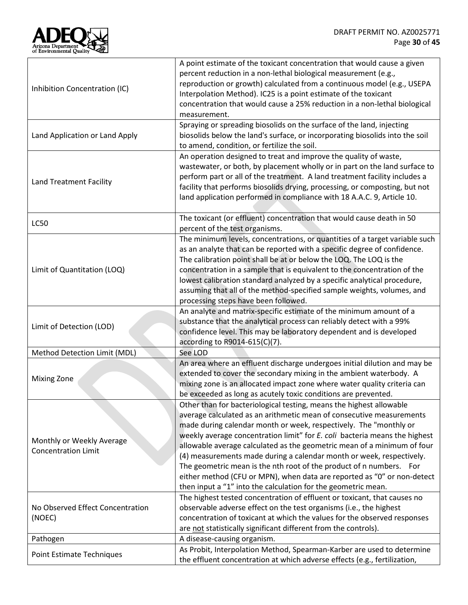

| Inhibition Concentration (IC)                           | A point estimate of the toxicant concentration that would cause a given<br>percent reduction in a non-lethal biological measurement (e.g.,<br>reproduction or growth) calculated from a continuous model (e.g., USEPA<br>Interpolation Method). IC25 is a point estimate of the toxicant<br>concentration that would cause a 25% reduction in a non-lethal biological<br>measurement.                                                                                                                                                                                                                                                                                |
|---------------------------------------------------------|----------------------------------------------------------------------------------------------------------------------------------------------------------------------------------------------------------------------------------------------------------------------------------------------------------------------------------------------------------------------------------------------------------------------------------------------------------------------------------------------------------------------------------------------------------------------------------------------------------------------------------------------------------------------|
| Land Application or Land Apply                          | Spraying or spreading biosolids on the surface of the land, injecting<br>biosolids below the land's surface, or incorporating biosolids into the soil<br>to amend, condition, or fertilize the soil.                                                                                                                                                                                                                                                                                                                                                                                                                                                                 |
| Land Treatment Facility                                 | An operation designed to treat and improve the quality of waste,<br>wastewater, or both, by placement wholly or in part on the land surface to<br>perform part or all of the treatment. A land treatment facility includes a<br>facility that performs biosolids drying, processing, or composting, but not<br>land application performed in compliance with 18 A.A.C. 9, Article 10.                                                                                                                                                                                                                                                                                |
| <b>LC50</b>                                             | The toxicant (or effluent) concentration that would cause death in 50<br>percent of the test organisms.                                                                                                                                                                                                                                                                                                                                                                                                                                                                                                                                                              |
| Limit of Quantitation (LOQ)                             | The minimum levels, concentrations, or quantities of a target variable such<br>as an analyte that can be reported with a specific degree of confidence.<br>The calibration point shall be at or below the LOQ. The LOQ is the<br>concentration in a sample that is equivalent to the concentration of the<br>lowest calibration standard analyzed by a specific analytical procedure,<br>assuming that all of the method-specified sample weights, volumes, and<br>processing steps have been followed.                                                                                                                                                              |
| Limit of Detection (LOD)                                | An analyte and matrix-specific estimate of the minimum amount of a<br>substance that the analytical process can reliably detect with a 99%<br>confidence level. This may be laboratory dependent and is developed<br>according to R9014-615(C)(7).                                                                                                                                                                                                                                                                                                                                                                                                                   |
| Method Detection Limit (MDL)                            | See LOD                                                                                                                                                                                                                                                                                                                                                                                                                                                                                                                                                                                                                                                              |
| Mixing Zone                                             | An area where an effluent discharge undergoes initial dilution and may be<br>extended to cover the secondary mixing in the ambient waterbody. A<br>mixing zone is an allocated impact zone where water quality criteria can<br>be exceeded as long as acutely toxic conditions are prevented.                                                                                                                                                                                                                                                                                                                                                                        |
| Monthly or Weekly Average<br><b>Concentration Limit</b> | Other than for bacteriological testing, means the highest allowable<br>average calculated as an arithmetic mean of consecutive measurements<br>made during calendar month or week, respectively. The "monthly or<br>weekly average concentration limit" for E. coli bacteria means the highest<br>allowable average calculated as the geometric mean of a minimum of four<br>(4) measurements made during a calendar month or week, respectively.<br>The geometric mean is the nth root of the product of n numbers. For<br>either method (CFU or MPN), when data are reported as "0" or non-detect<br>then input a "1" into the calculation for the geometric mean. |
| No Observed Effect Concentration<br>(NOEC)              | The highest tested concentration of effluent or toxicant, that causes no<br>observable adverse effect on the test organisms (i.e., the highest<br>concentration of toxicant at which the values for the observed responses<br>are not statistically significant different from the controls).                                                                                                                                                                                                                                                                                                                                                                        |
| Pathogen                                                | A disease-causing organism.                                                                                                                                                                                                                                                                                                                                                                                                                                                                                                                                                                                                                                          |
| <b>Point Estimate Techniques</b>                        | As Probit, Interpolation Method, Spearman-Karber are used to determine<br>the effluent concentration at which adverse effects (e.g., fertilization,                                                                                                                                                                                                                                                                                                                                                                                                                                                                                                                  |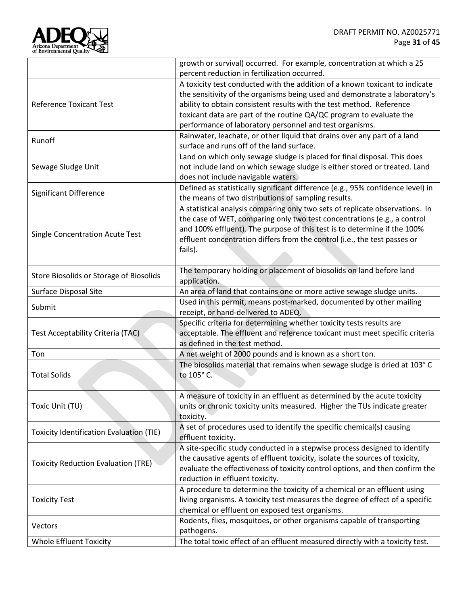

|                                                 | growth or survival) occurred. For example, concentration at which a 25                                                                                    |  |  |  |  |
|-------------------------------------------------|-----------------------------------------------------------------------------------------------------------------------------------------------------------|--|--|--|--|
|                                                 | percent reduction in fertilization occurred.                                                                                                              |  |  |  |  |
|                                                 | A toxicity test conducted with the addition of a known toxicant to indicate                                                                               |  |  |  |  |
|                                                 | the sensitivity of the organisms being used and demonstrate a laboratory's                                                                                |  |  |  |  |
| <b>Reference Toxicant Test</b>                  | ability to obtain consistent results with the test method. Reference                                                                                      |  |  |  |  |
|                                                 | toxicant data are part of the routine QA/QC program to evaluate the                                                                                       |  |  |  |  |
|                                                 | performance of laboratory personnel and test organisms.                                                                                                   |  |  |  |  |
|                                                 | Rainwater, leachate, or other liquid that drains over any part of a land                                                                                  |  |  |  |  |
| Runoff                                          | surface and runs off of the land surface.                                                                                                                 |  |  |  |  |
|                                                 | Land on which only sewage sludge is placed for final disposal. This does                                                                                  |  |  |  |  |
| Sewage Sludge Unit                              | not include land on which sewage sludge is either stored or treated. Land                                                                                 |  |  |  |  |
|                                                 | does not include navigable waters.                                                                                                                        |  |  |  |  |
|                                                 | Defined as statistically significant difference (e.g., 95% confidence level) in                                                                           |  |  |  |  |
| <b>Significant Difference</b>                   | the means of two distributions of sampling results.                                                                                                       |  |  |  |  |
|                                                 | A statistical analysis comparing only two sets of replicate observations. In                                                                              |  |  |  |  |
|                                                 | the case of WET, comparing only two test concentrations (e.g., a control                                                                                  |  |  |  |  |
|                                                 | and 100% effluent). The purpose of this test is to determine if the 100%                                                                                  |  |  |  |  |
| <b>Single Concentration Acute Test</b>          | effluent concentration differs from the control (i.e., the test passes or                                                                                 |  |  |  |  |
|                                                 | fails).                                                                                                                                                   |  |  |  |  |
|                                                 |                                                                                                                                                           |  |  |  |  |
|                                                 | The temporary holding or placement of biosolids on land before land                                                                                       |  |  |  |  |
| Store Biosolids or Storage of Biosolids         | application.                                                                                                                                              |  |  |  |  |
| Surface Disposal Site                           | An area of land that contains one or more active sewage sludge units.                                                                                     |  |  |  |  |
|                                                 | Used in this permit, means post-marked, documented by other mailing                                                                                       |  |  |  |  |
| Submit                                          | receipt, or hand-delivered to ADEQ.                                                                                                                       |  |  |  |  |
|                                                 | Specific criteria for determining whether toxicity tests results are                                                                                      |  |  |  |  |
| Test Acceptability Criteria (TAC)               | acceptable. The effluent and reference toxicant must meet specific criteria                                                                               |  |  |  |  |
|                                                 | as defined in the test method.                                                                                                                            |  |  |  |  |
| Ton                                             | A net weight of 2000 pounds and is known as a short ton.                                                                                                  |  |  |  |  |
|                                                 | The biosolids material that remains when sewage sludge is dried at 103°C                                                                                  |  |  |  |  |
| <b>Total Solids</b>                             | to 105° C.                                                                                                                                                |  |  |  |  |
|                                                 |                                                                                                                                                           |  |  |  |  |
|                                                 | A measure of toxicity in an effluent as determined by the acute toxicity                                                                                  |  |  |  |  |
| Toxic Unit (TU)                                 | units or chronic toxicity units measured. Higher the TUs indicate greater                                                                                 |  |  |  |  |
|                                                 | toxicity.                                                                                                                                                 |  |  |  |  |
|                                                 | A set of procedures used to identify the specific chemical(s) causing                                                                                     |  |  |  |  |
| <b>Toxicity Identification Evaluation (TIE)</b> | effluent toxicity.                                                                                                                                        |  |  |  |  |
|                                                 |                                                                                                                                                           |  |  |  |  |
|                                                 | A site-specific study conducted in a stepwise process designed to identify<br>the causative agents of effluent toxicity, isolate the sources of toxicity, |  |  |  |  |
| <b>Toxicity Reduction Evaluation (TRE)</b>      |                                                                                                                                                           |  |  |  |  |
|                                                 | evaluate the effectiveness of toxicity control options, and then confirm the                                                                              |  |  |  |  |
|                                                 | reduction in effluent toxicity.<br>A procedure to determine the toxicity of a chemical or an effluent using                                               |  |  |  |  |
|                                                 |                                                                                                                                                           |  |  |  |  |
| <b>Toxicity Test</b>                            | living organisms. A toxicity test measures the degree of effect of a specific                                                                             |  |  |  |  |
|                                                 | chemical or effluent on exposed test organisms.                                                                                                           |  |  |  |  |
| Vectors                                         | Rodents, flies, mosquitoes, or other organisms capable of transporting                                                                                    |  |  |  |  |
|                                                 | pathogens.                                                                                                                                                |  |  |  |  |
| <b>Whole Effluent Toxicity</b>                  | The total toxic effect of an effluent measured directly with a toxicity test.                                                                             |  |  |  |  |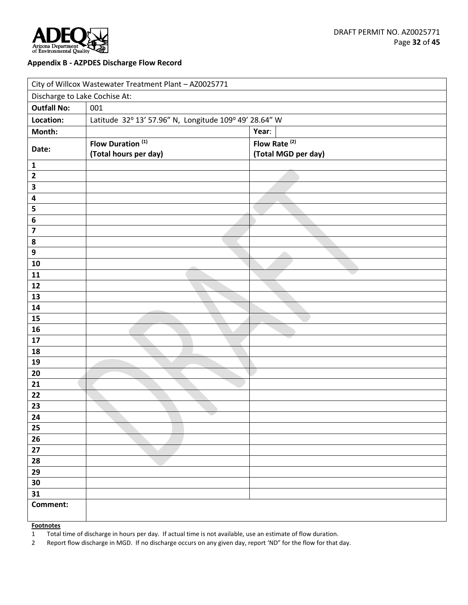

#### <span id="page-31-0"></span>**Appendix B - AZPDES Discharge Flow Record**

|                               | City of Willcox Wastewater Treatment Plant - AZ0025771 |                          |  |  |  |  |  |  |
|-------------------------------|--------------------------------------------------------|--------------------------|--|--|--|--|--|--|
| Discharge to Lake Cochise At: |                                                        |                          |  |  |  |  |  |  |
| <b>Outfall No:</b>            | 001                                                    |                          |  |  |  |  |  |  |
| Location:                     | Latitude 32° 13' 57.96" N, Longitude 109° 49' 28.64" W |                          |  |  |  |  |  |  |
| Month:                        |                                                        | Year:                    |  |  |  |  |  |  |
|                               | Flow Duration <sup>(1)</sup>                           | Flow Rate <sup>(2)</sup> |  |  |  |  |  |  |
| Date:                         | (Total hours per day)                                  | (Total MGD per day)      |  |  |  |  |  |  |
| $\mathbf 1$                   |                                                        |                          |  |  |  |  |  |  |
| $\mathbf{2}$                  |                                                        |                          |  |  |  |  |  |  |
| $\overline{\mathbf{3}}$       |                                                        |                          |  |  |  |  |  |  |
| $\pmb{4}$                     |                                                        |                          |  |  |  |  |  |  |
| 5                             |                                                        |                          |  |  |  |  |  |  |
| $\bf 6$                       |                                                        |                          |  |  |  |  |  |  |
| $\overline{\mathbf{z}}$       |                                                        |                          |  |  |  |  |  |  |
| 8                             |                                                        |                          |  |  |  |  |  |  |
| $\boldsymbol{9}$              |                                                        |                          |  |  |  |  |  |  |
| ${\bf 10}$                    |                                                        |                          |  |  |  |  |  |  |
| 11                            |                                                        |                          |  |  |  |  |  |  |
| ${\bf 12}$                    |                                                        |                          |  |  |  |  |  |  |
| 13<br>${\bf 14}$              |                                                        |                          |  |  |  |  |  |  |
| 15                            |                                                        |                          |  |  |  |  |  |  |
| 16                            |                                                        |                          |  |  |  |  |  |  |
| ${\bf 17}$                    |                                                        |                          |  |  |  |  |  |  |
| 18                            |                                                        |                          |  |  |  |  |  |  |
| 19                            |                                                        |                          |  |  |  |  |  |  |
| ${\bf 20}$                    |                                                        |                          |  |  |  |  |  |  |
| 21                            |                                                        |                          |  |  |  |  |  |  |
| 22                            |                                                        |                          |  |  |  |  |  |  |
| 23                            |                                                        |                          |  |  |  |  |  |  |
| 24                            |                                                        |                          |  |  |  |  |  |  |
| 25                            |                                                        |                          |  |  |  |  |  |  |
| 26                            |                                                        |                          |  |  |  |  |  |  |
| 27                            |                                                        |                          |  |  |  |  |  |  |
| 28                            |                                                        |                          |  |  |  |  |  |  |
| 29                            |                                                        |                          |  |  |  |  |  |  |
| 30                            |                                                        |                          |  |  |  |  |  |  |
| 31                            |                                                        |                          |  |  |  |  |  |  |
| Comment:                      |                                                        |                          |  |  |  |  |  |  |

**Footnotes**

Total time of discharge in hours per day. If actual time is not available, use an estimate of flow duration.

Report flow discharge in MGD. If no discharge occurs on any given day, report 'ND" for the flow for that day.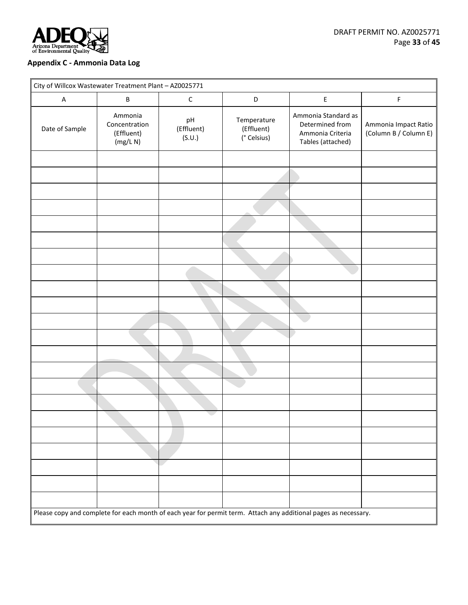

## <span id="page-32-0"></span>**Appendix C - Ammonia Data Log**

| City of Willcox Wastewater Treatment Plant - AZ0025771 |                                                    |                            |                                          |                                                                                                                 |                                               |  |  |  |  |
|--------------------------------------------------------|----------------------------------------------------|----------------------------|------------------------------------------|-----------------------------------------------------------------------------------------------------------------|-----------------------------------------------|--|--|--|--|
| $\mathsf A$                                            | B                                                  | $\mathsf C$                | $\mathsf D$                              | E                                                                                                               | $\mathsf F$                                   |  |  |  |  |
| Date of Sample                                         | Ammonia<br>Concentration<br>(Effluent)<br>(mg/L N) | pН<br>(Effluent)<br>(S.U.) | Temperature<br>(Effluent)<br>(° Celsius) | Ammonia Standard as<br>Determined from<br>Ammonia Criteria<br>Tables (attached)                                 | Ammonia Impact Ratio<br>(Column B / Column E) |  |  |  |  |
|                                                        |                                                    |                            |                                          |                                                                                                                 |                                               |  |  |  |  |
|                                                        |                                                    |                            |                                          |                                                                                                                 |                                               |  |  |  |  |
|                                                        |                                                    |                            |                                          |                                                                                                                 |                                               |  |  |  |  |
|                                                        |                                                    |                            |                                          |                                                                                                                 |                                               |  |  |  |  |
|                                                        |                                                    |                            |                                          |                                                                                                                 |                                               |  |  |  |  |
|                                                        |                                                    |                            |                                          |                                                                                                                 |                                               |  |  |  |  |
|                                                        |                                                    |                            |                                          |                                                                                                                 |                                               |  |  |  |  |
|                                                        |                                                    |                            |                                          |                                                                                                                 |                                               |  |  |  |  |
|                                                        |                                                    |                            |                                          |                                                                                                                 |                                               |  |  |  |  |
|                                                        |                                                    |                            |                                          |                                                                                                                 |                                               |  |  |  |  |
|                                                        |                                                    |                            |                                          |                                                                                                                 |                                               |  |  |  |  |
|                                                        |                                                    |                            |                                          |                                                                                                                 |                                               |  |  |  |  |
|                                                        |                                                    |                            |                                          |                                                                                                                 |                                               |  |  |  |  |
|                                                        |                                                    |                            |                                          |                                                                                                                 |                                               |  |  |  |  |
|                                                        |                                                    |                            |                                          |                                                                                                                 |                                               |  |  |  |  |
|                                                        |                                                    |                            |                                          |                                                                                                                 |                                               |  |  |  |  |
|                                                        |                                                    |                            |                                          |                                                                                                                 |                                               |  |  |  |  |
|                                                        |                                                    |                            |                                          |                                                                                                                 |                                               |  |  |  |  |
|                                                        |                                                    |                            |                                          |                                                                                                                 |                                               |  |  |  |  |
|                                                        |                                                    |                            |                                          |                                                                                                                 |                                               |  |  |  |  |
|                                                        |                                                    |                            |                                          |                                                                                                                 |                                               |  |  |  |  |
|                                                        |                                                    |                            |                                          |                                                                                                                 |                                               |  |  |  |  |
|                                                        |                                                    |                            |                                          | Please copy and complete for each month of each year for permit term. Attach any additional pages as necessary. |                                               |  |  |  |  |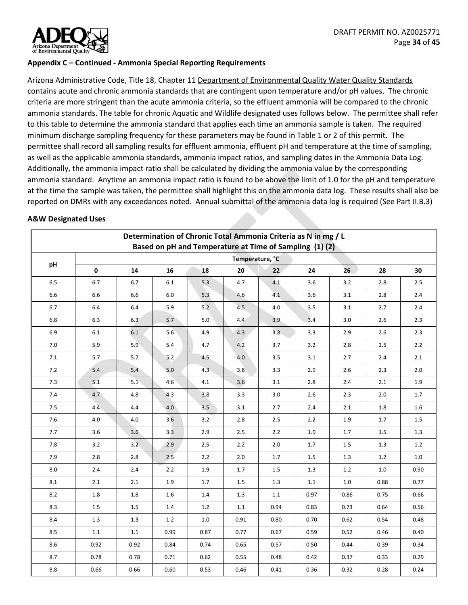

## **Appendix C – Continued - Ammonia Special Reporting Requirements**

Arizona Administrative Code, Title 18, Chapter 11 Department of Environmental Quality Water Quality Standards contains acute and chronic ammonia standards that are contingent upon temperature and/or pH values. The chronic criteria are more stringent than the acute ammonia criteria, so the effluent ammonia will be compared to the chronic ammonia standards. The table for chronic Aquatic and Wildlife designated uses follows below. The permittee shall refer to this table to determine the ammonia standard that applies each time an ammonia sample is taken. The required minimum discharge sampling frequency for these parameters may be found in Table 1 or 2 of this permit. The permittee shall record all sampling results for effluent ammonia, effluent pH and temperature at the time of sampling, as well as the applicable ammonia standards, ammonia impact ratios, and sampling dates in the Ammonia Data Log. Additionally, the ammonia impact ratio shall be calculated by dividing the ammonia value by the corresponding ammonia standard. Anytime an ammonia impact ratio is found to be above the limit of 1.0 for the pH and temperature at the time the sample was taken, the permittee shall highlight this on the ammonia data log. These results shall also be reported on DMRs with any exceedances noted. Annual submittal of the ammonia data log is required (See Part II.B.3)

#### **A&W Designated Uses**

| Determination of Chronic Total Ammonia Criteria as N in mg / L<br>Based on pH and Temperature at Time of Sampling (1)(2) |             |         |         |         |         |         |         |       |         |         |
|--------------------------------------------------------------------------------------------------------------------------|-------------|---------|---------|---------|---------|---------|---------|-------|---------|---------|
| Temperature, °C                                                                                                          |             |         |         |         |         |         |         |       |         |         |
| pH                                                                                                                       | $\mathbf 0$ | 14      | 16      | 18      | 20      | 22      | 24      | 26    | 28      | 30      |
| 6.5                                                                                                                      | 6.7         | 6.7     | $6.1\,$ | 5.3     | 4.7     | 4.1     | $3.6\,$ | 3.2   | $2.8\,$ | $2.5\,$ |
| 6.6                                                                                                                      | 6.6         | 6.6     | $6.0\,$ | 5.3     | 4.6     | 4.1     | 3.6     | 3.1   | 2.8     | 2.4     |
| 6.7                                                                                                                      | 6.4         | 6.4     | 5.9     | 5.2     | 4.5     | 4.0     | 3.5     | 3.1   | 2.7     | 2.4     |
| 6.8                                                                                                                      | 6.3         | 6.3     | 5.7     | 5.0     | 4.4     | 3.9     | 3.4     | 3.0   | 2.6     | 2.3     |
| 6.9                                                                                                                      | 6.1         | 6.1     | 5.6     | 4.9     | 4.3     | 3.8     | 3.3     | 2.9   | 2.6     | 2.3     |
| 7.0                                                                                                                      | 5.9         | 5.9     | 5.4     | 4.7     | 4.2     | 3.7     | 3.2     | 2.8   | 2.5     | 2.2     |
| $7.1\,$                                                                                                                  | 5.7         | 5.7     | 5.2     | 4.5     | 4.0     | 3.5     | 3.1     | 2.7   | 2.4     | 2.1     |
| 7.2                                                                                                                      | 5.4         | 5.4     | 5.0     | 4.3     | 3.8     | 3.3     | 2.9     | 2.6   | 2.3     | 2.0     |
| 7.3                                                                                                                      | 5.1         | 5.1     | 4.6     | 4.1     | 3.6     | 3.1     | 2.8     | 2.4   | 2.1     | 1.9     |
| 7.4                                                                                                                      | 4.7         | 4.8     | 4.3     | 3.8     | 3.3     | 3.0     | 2.6     | 2.3   | 2.0     | $1.7\,$ |
| 7.5                                                                                                                      | 4.4         | 4.4     | 4.0     | 3.5     | 3.1     | 2.7     | 2.4     | 2.1   | 1.8     | 1.6     |
| 7.6                                                                                                                      | 4.0         | 4.0     | 3.6     | 3.2     | 2.8     | 2.5     | 2.2     | 1.9   | 1.7     | $1.5$   |
| 7.7                                                                                                                      | 3.6         | 3.6     | 3.3     | 2.9     | $2.5\,$ | 2.2     | $1.9\,$ | 1.7   | $1.5\,$ | $1.3\,$ |
| 7.8                                                                                                                      | 3.2         | 3.2     | 2.9     | 2.5     | 2.2     | 2.0     | 1.7     | 1.5   | 1.3     | 1.2     |
| 7.9                                                                                                                      | 2.8         | 2.8     | 2.5     | 2.2     | 2.0     | 1.7     | $1.5\,$ | 1.3   | 1.2     | $1.0\,$ |
| 8.0                                                                                                                      | 2.4         | 2.4     | 2.2     | $1.9\,$ | $1.7\,$ | $1.5\,$ | $1.3\,$ | 1.2   | $1.0\,$ | 0.90    |
| 8.1                                                                                                                      | 2.1         | 2.1     | 1.9     | 1.7     | $1.5\,$ | 1.3     | 1.1     | $1.0$ | 0.88    | 0.77    |
| 8.2                                                                                                                      | 1.8         | 1.8     | 1.6     | $1.4$   | 1.3     | $1.1\,$ | 0.97    | 0.86  | 0.75    | 0.66    |
| 8.3                                                                                                                      | 1.5         | $1.5\,$ | 1.4     | 1.2     | 1.1     | 0.94    | 0.83    | 0.73  | 0.64    | 0.56    |
| 8.4                                                                                                                      | 1.3         | 1.3     | 1.2     | $1.0\,$ | 0.91    | 0.80    | 0.70    | 0.62  | 0.54    | 0.48    |
| 8.5                                                                                                                      | 1.1         | $1.1\,$ | 0.99    | 0.87    | 0.77    | 0.67    | 0.59    | 0.52  | 0.46    | 0.40    |
| 8.6                                                                                                                      | 0.92        | 0.92    | 0.84    | 0.74    | 0.65    | 0.57    | 0.50    | 0.44  | 0.39    | 0.34    |
| 8.7                                                                                                                      | 0.78        | 0.78    | 0.71    | 0.62    | 0.55    | 0.48    | 0.42    | 0.37  | 0.33    | 0.29    |
| 8.8                                                                                                                      | 0.66        | 0.66    | 0.60    | 0.53    | 0.46    | 0.41    | 0.36    | 0.32  | 0.28    | 0.24    |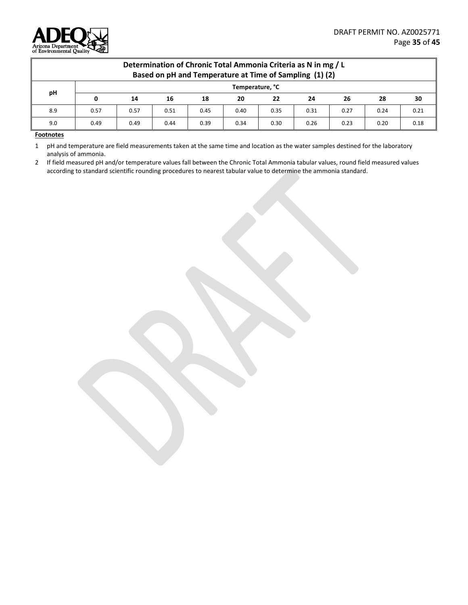

| Determination of Chronic Total Ammonia Criteria as N in mg / L<br>Based on pH and Temperature at Time of Sampling (1)(2) |                 |      |      |      |      |      |      |      |      |      |
|--------------------------------------------------------------------------------------------------------------------------|-----------------|------|------|------|------|------|------|------|------|------|
|                                                                                                                          | Temperature, °C |      |      |      |      |      |      |      |      |      |
| рH                                                                                                                       | 0               | 14   | 16   | 18   | 20   | 22   | 24   | 26   | 28   | 30   |
| 8.9                                                                                                                      | 0.57            | 0.57 | 0.51 | 0.45 | 0.40 | 0.35 | 0.31 | 0.27 | 0.24 | 0.21 |
| 9.0                                                                                                                      | 0.49            | 0.49 | 0.44 | 0.39 | 0.34 | 0.30 | 0.26 | 0.23 | 0.20 | 0.18 |

#### **Footnotes**

1 pH and temperature are field measurements taken at the same time and location as the water samples destined for the laboratory analysis of ammonia.

2 If field measured pH and/or temperature values fall between the Chronic Total Ammonia tabular values, round field measured values according to standard scientific rounding procedures to nearest tabular value to determine the ammonia standard.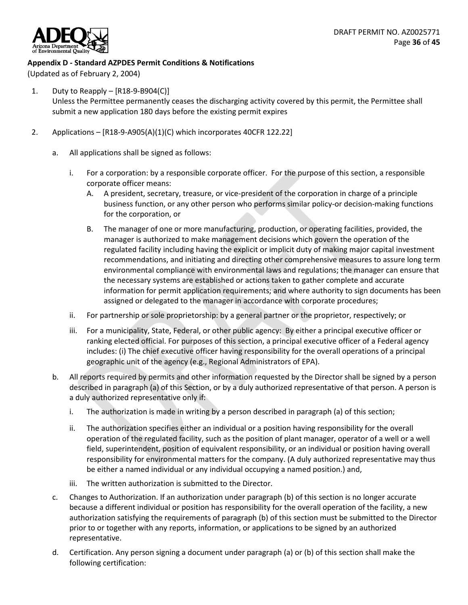

# <span id="page-35-0"></span>**Appendix D - Standard AZPDES Permit Conditions & Notifications**

(Updated as of February 2, 2004)

- 1. Duty to Reapply [R18-9-B904(C)] Unless the Permittee permanently ceases the discharging activity covered by this permit, the Permittee shall submit a new application 180 days before the existing permit expires
- 2. Applications [R18-9-A905(A)(1)(C) which incorporates 40CFR 122.22]
	- a. All applications shall be signed as follows:
		- i. For a corporation: by a responsible corporate officer. For the purpose of this section, a responsible corporate officer means:
			- A. A president, secretary, treasure, or vice-president of the corporation in charge of a principle business function, or any other person who performs similar policy-or decision-making functions for the corporation, or
			- B. The manager of one or more manufacturing, production, or operating facilities, provided, the manager is authorized to make management decisions which govern the operation of the regulated facility including having the explicit or implicit duty of making major capital investment recommendations, and initiating and directing other comprehensive measures to assure long term environmental compliance with environmental laws and regulations; the manager can ensure that the necessary systems are established or actions taken to gather complete and accurate information for permit application requirements; and where authority to sign documents has been assigned or delegated to the manager in accordance with corporate procedures;
		- ii. For partnership or sole proprietorship: by a general partner or the proprietor, respectively; or
		- iii. For a municipality, State, Federal, or other public agency: By either a principal executive officer or ranking elected official. For purposes of this section, a principal executive officer of a Federal agency includes: (i) The chief executive officer having responsibility for the overall operations of a principal geographic unit of the agency (e.g., Regional Administrators of EPA).
	- b. All reports required by permits and other information requested by the Director shall be signed by a person described in paragraph (a) of this Section, or by a duly authorized representative of that person. A person is a duly authorized representative only if:
		- i. The authorization is made in writing by a person described in paragraph (a) of this section;
		- ii. The authorization specifies either an individual or a position having responsibility for the overall operation of the regulated facility, such as the position of plant manager, operator of a well or a well field, superintendent, position of equivalent responsibility, or an individual or position having overall responsibility for environmental matters for the company. (A duly authorized representative may thus be either a named individual or any individual occupying a named position.) and,
		- iii. The written authorization is submitted to the Director.
	- c. Changes to Authorization. If an authorization under paragraph (b) of this section is no longer accurate because a different individual or position has responsibility for the overall operation of the facility, a new authorization satisfying the requirements of paragraph (b) of this section must be submitted to the Director prior to or together with any reports, information, or applications to be signed by an authorized representative.
	- d. Certification. Any person signing a document under paragraph (a) or (b) of this section shall make the following certification: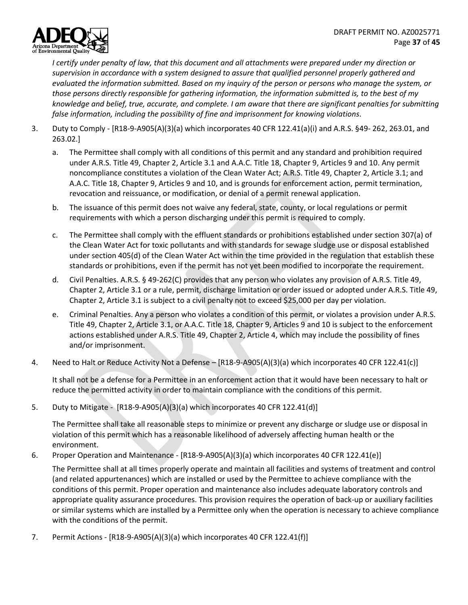

*I certify under penalty of law, that this document and all attachments were prepared under my direction or supervision in accordance with a system designed to assure that qualified personnel properly gathered and evaluated the information submitted. Based on my inquiry of the person or persons who manage the system, or those persons directly responsible for gathering information, the information submitted is, to the best of my knowledge and belief, true, accurate, and complete. I am aware that there are significant penalties for submitting false information, including the possibility of fine and imprisonment for knowing violations*.

- 3. Duty to Comply [R18-9-A905(A)(3)(a) which incorporates 40 CFR 122.41(a)(i) and A.R.S. §49- 262, 263.01, and 263.02.]
	- a. The Permittee shall comply with all conditions of this permit and any standard and prohibition required under A.R.S. Title 49, Chapter 2, Article 3.1 and A.A.C. Title 18, Chapter 9, Articles 9 and 10. Any permit noncompliance constitutes a violation of the Clean Water Act; A.R.S. Title 49, Chapter 2, Article 3.1; and A.A.C. Title 18, Chapter 9, Articles 9 and 10, and is grounds for enforcement action, permit termination, revocation and reissuance, or modification, or denial of a permit renewal application.
	- b. The issuance of this permit does not waive any federal, state, county, or local regulations or permit requirements with which a person discharging under this permit is required to comply.
	- c. The Permittee shall comply with the effluent standards or prohibitions established under section 307(a) of the Clean Water Act for toxic pollutants and with standards for sewage sludge use or disposal established under section 405(d) of the Clean Water Act within the time provided in the regulation that establish these standards or prohibitions, even if the permit has not yet been modified to incorporate the requirement.
	- d. Civil Penalties. A.R.S. § 49-262(C) provides that any person who violates any provision of A.R.S. Title 49, Chapter 2, Article 3.1 or a rule, permit, discharge limitation or order issued or adopted under A.R.S. Title 49, Chapter 2, Article 3.1 is subject to a civil penalty not to exceed \$25,000 per day per violation.
	- e. Criminal Penalties. Any a person who violates a condition of this permit, or violates a provision under A.R.S. Title 49, Chapter 2, Article 3.1, or A.A.C. Title 18, Chapter 9, Articles 9 and 10 is subject to the enforcement actions established under A.R.S. Title 49, Chapter 2, Article 4, which may include the possibility of fines and/or imprisonment.
- 4. Need to Halt or Reduce Activity Not a Defense [R18-9-A905(A)(3)(a) which incorporates 40 CFR 122.41(c)]

It shall not be a defense for a Permittee in an enforcement action that it would have been necessary to halt or reduce the permitted activity in order to maintain compliance with the conditions of this permit.

5. Duty to Mitigate - [R18-9-A905(A)(3)(a) which incorporates 40 CFR 122.41(d)]

The Permittee shall take all reasonable steps to minimize or prevent any discharge or sludge use or disposal in violation of this permit which has a reasonable likelihood of adversely affecting human health or the environment.

6. Proper Operation and Maintenance - [R18-9-A905(A)(3)(a) which incorporates 40 CFR 122.41(e)]

The Permittee shall at all times properly operate and maintain all facilities and systems of treatment and control (and related appurtenances) which are installed or used by the Permittee to achieve compliance with the conditions of this permit. Proper operation and maintenance also includes adequate laboratory controls and appropriate quality assurance procedures. This provision requires the operation of back-up or auxiliary facilities or similar systems which are installed by a Permittee only when the operation is necessary to achieve compliance with the conditions of the permit.

7. Permit Actions - [R18-9-A905(A)(3)(a) which incorporates 40 CFR 122.41(f)]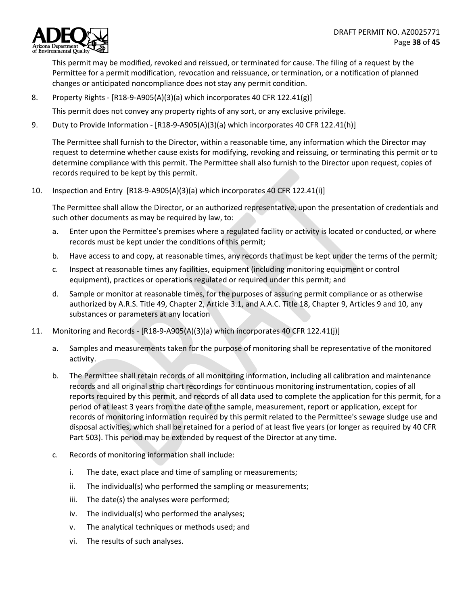

This permit may be modified, revoked and reissued, or terminated for cause. The filing of a request by the Permittee for a permit modification, revocation and reissuance, or termination, or a notification of planned changes or anticipated noncompliance does not stay any permit condition.

8. Property Rights - [R18-9-A905(A)(3)(a) which incorporates 40 CFR 122.41(g)]

This permit does not convey any property rights of any sort, or any exclusive privilege.

9. Duty to Provide Information - [R18-9-A905(A)(3)(a) which incorporates 40 CFR 122.41(h)]

The Permittee shall furnish to the Director, within a reasonable time, any information which the Director may request to determine whether cause exists for modifying, revoking and reissuing, or terminating this permit or to determine compliance with this permit. The Permittee shall also furnish to the Director upon request, copies of records required to be kept by this permit.

10. Inspection and Entry [R18-9-A905(A)(3)(a) which incorporates 40 CFR 122.41(i)]

The Permittee shall allow the Director, or an authorized representative, upon the presentation of credentials and such other documents as may be required by law, to:

- a. Enter upon the Permittee's premises where a regulated facility or activity is located or conducted, or where records must be kept under the conditions of this permit;
- b. Have access to and copy, at reasonable times, any records that must be kept under the terms of the permit;
- c. Inspect at reasonable times any facilities, equipment (including monitoring equipment or control equipment), practices or operations regulated or required under this permit; and
- d. Sample or monitor at reasonable times, for the purposes of assuring permit compliance or as otherwise authorized by A.R.S. Title 49, Chapter 2, Article 3.1, and A.A.C. Title 18, Chapter 9, Articles 9 and 10, any substances or parameters at any location
- 11. Monitoring and Records [R18-9-A905(A)(3)(a) which incorporates 40 CFR 122.41(j)]
	- a. Samples and measurements taken for the purpose of monitoring shall be representative of the monitored activity.
	- b. The Permittee shall retain records of all monitoring information, including all calibration and maintenance records and all original strip chart recordings for continuous monitoring instrumentation, copies of all reports required by this permit, and records of all data used to complete the application for this permit, for a period of at least 3 years from the date of the sample, measurement, report or application, except for records of monitoring information required by this permit related to the Permittee's sewage sludge use and disposal activities, which shall be retained for a period of at least five years (or longer as required by 40 CFR Part 503). This period may be extended by request of the Director at any time.
	- c. Records of monitoring information shall include:
		- i. The date, exact place and time of sampling or measurements;
		- ii. The individual(s) who performed the sampling or measurements;
		- iii. The date(s) the analyses were performed;
		- iv. The individual(s) who performed the analyses;
		- v. The analytical techniques or methods used; and
		- vi. The results of such analyses.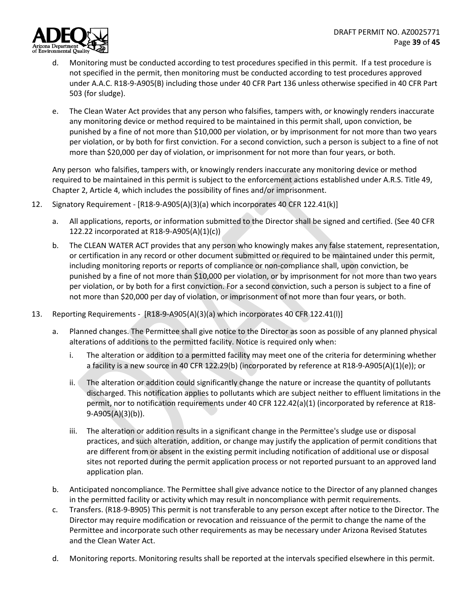

- d. Monitoring must be conducted according to test procedures specified in this permit. If a test procedure is not specified in the permit, then monitoring must be conducted according to test procedures approved under A.A.C. R18-9-A905(B) including those under 40 CFR Part 136 unless otherwise specified in 40 CFR Part 503 (for sludge).
- e. The Clean Water Act provides that any person who falsifies, tampers with, or knowingly renders inaccurate any monitoring device or method required to be maintained in this permit shall, upon conviction, be punished by a fine of not more than \$10,000 per violation, or by imprisonment for not more than two years per violation, or by both for first conviction. For a second conviction, such a person is subject to a fine of not more than \$20,000 per day of violation, or imprisonment for not more than four years, or both.

Any person who falsifies, tampers with, or knowingly renders inaccurate any monitoring device or method required to be maintained in this permit is subject to the enforcement actions established under A.R.S. Title 49, Chapter 2, Article 4, which includes the possibility of fines and/or imprisonment.

- 12. Signatory Requirement [R18-9-A905(A)(3)(a) which incorporates 40 CFR 122.41(k)]
	- a. All applications, reports, or information submitted to the Director shall be signed and certified. (See 40 CFR 122.22 incorporated at R18-9-A905(A)(1)(c))
	- b. The CLEAN WATER ACT provides that any person who knowingly makes any false statement, representation, or certification in any record or other document submitted or required to be maintained under this permit, including monitoring reports or reports of compliance or non-compliance shall, upon conviction, be punished by a fine of not more than \$10,000 per violation, or by imprisonment for not more than two years per violation, or by both for a first conviction. For a second conviction, such a person is subject to a fine of not more than \$20,000 per day of violation, or imprisonment of not more than four years, or both.
- 13. Reporting Requirements [R18-9-A905(A)(3)(a) which incorporates 40 CFR 122.41(l)]
	- a. Planned changes. The Permittee shall give notice to the Director as soon as possible of any planned physical alterations of additions to the permitted facility. Notice is required only when:
		- i. The alteration or addition to a permitted facility may meet one of the criteria for determining whether a facility is a new source in 40 CFR 122.29(b) (incorporated by reference at R18-9-A905(A)(1)(e)); or
		- ii. The alteration or addition could significantly change the nature or increase the quantity of pollutants discharged. This notification applies to pollutants which are subject neither to effluent limitations in the permit, nor to notification requirements under 40 CFR 122.42(a)(1) (incorporated by reference at R18- 9-A905(A)(3)(b)).
		- iii. The alteration or addition results in a significant change in the Permittee's sludge use or disposal practices, and such alteration, addition, or change may justify the application of permit conditions that are different from or absent in the existing permit including notification of additional use or disposal sites not reported during the permit application process or not reported pursuant to an approved land application plan.
	- b. Anticipated noncompliance. The Permittee shall give advance notice to the Director of any planned changes in the permitted facility or activity which may result in noncompliance with permit requirements.
	- c. Transfers. (R18-9-B905) This permit is not transferable to any person except after notice to the Director. The Director may require modification or revocation and reissuance of the permit to change the name of the Permittee and incorporate such other requirements as may be necessary under Arizona Revised Statutes and the Clean Water Act.
	- d. Monitoring reports. Monitoring results shall be reported at the intervals specified elsewhere in this permit.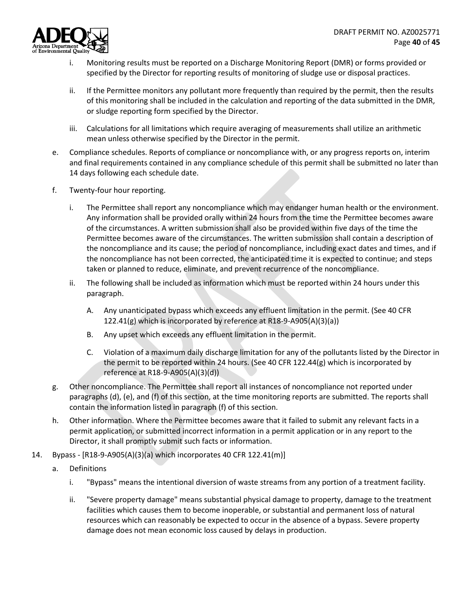

- i. Monitoring results must be reported on a Discharge Monitoring Report (DMR) or forms provided or specified by the Director for reporting results of monitoring of sludge use or disposal practices.
- ii. If the Permittee monitors any pollutant more frequently than required by the permit, then the results of this monitoring shall be included in the calculation and reporting of the data submitted in the DMR, or sludge reporting form specified by the Director.
- iii. Calculations for all limitations which require averaging of measurements shall utilize an arithmetic mean unless otherwise specified by the Director in the permit.
- e. Compliance schedules. Reports of compliance or noncompliance with, or any progress reports on, interim and final requirements contained in any compliance schedule of this permit shall be submitted no later than 14 days following each schedule date.
- f. Twenty-four hour reporting.
	- i. The Permittee shall report any noncompliance which may endanger human health or the environment. Any information shall be provided orally within 24 hours from the time the Permittee becomes aware of the circumstances. A written submission shall also be provided within five days of the time the Permittee becomes aware of the circumstances. The written submission shall contain a description of the noncompliance and its cause; the period of noncompliance, including exact dates and times, and if the noncompliance has not been corrected, the anticipated time it is expected to continue; and steps taken or planned to reduce, eliminate, and prevent recurrence of the noncompliance.
	- ii. The following shall be included as information which must be reported within 24 hours under this paragraph.
		- A. Any unanticipated bypass which exceeds any effluent limitation in the permit. (See 40 CFR 122.41(g) which is incorporated by reference at R18-9-A905(A)(3)(a))
		- B. Any upset which exceeds any effluent limitation in the permit.
		- C. Violation of a maximum daily discharge limitation for any of the pollutants listed by the Director in the permit to be reported within 24 hours. (See 40 CFR 122.44(g) which is incorporated by reference at R18-9-A905(A)(3)(d))
- g. Other noncompliance. The Permittee shall report all instances of noncompliance not reported under paragraphs (d), (e), and (f) of this section, at the time monitoring reports are submitted. The reports shall contain the information listed in paragraph (f) of this section.
- h. Other information. Where the Permittee becomes aware that it failed to submit any relevant facts in a permit application, or submitted incorrect information in a permit application or in any report to the Director, it shall promptly submit such facts or information.
- 14. Bypass [R18-9-A905(A)(3)(a) which incorporates 40 CFR 122.41(m)]
	- a. Definitions
		- i. "Bypass" means the intentional diversion of waste streams from any portion of a treatment facility.
		- ii. "Severe property damage" means substantial physical damage to property, damage to the treatment facilities which causes them to become inoperable, or substantial and permanent loss of natural resources which can reasonably be expected to occur in the absence of a bypass. Severe property damage does not mean economic loss caused by delays in production.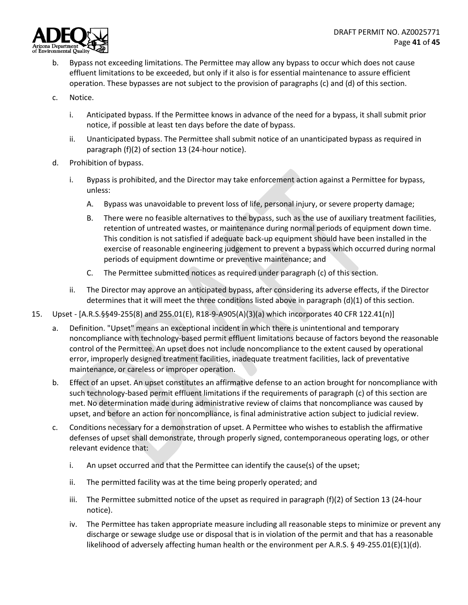

- b. Bypass not exceeding limitations. The Permittee may allow any bypass to occur which does not cause effluent limitations to be exceeded, but only if it also is for essential maintenance to assure efficient operation. These bypasses are not subject to the provision of paragraphs (c) and (d) of this section.
- c. Notice.
	- i. Anticipated bypass. If the Permittee knows in advance of the need for a bypass, it shall submit prior notice, if possible at least ten days before the date of bypass.
	- ii. Unanticipated bypass. The Permittee shall submit notice of an unanticipated bypass as required in paragraph (f)(2) of section 13 (24-hour notice).
- d. Prohibition of bypass.
	- i. Bypass is prohibited, and the Director may take enforcement action against a Permittee for bypass, unless:
		- A. Bypass was unavoidable to prevent loss of life, personal injury, or severe property damage;
		- B. There were no feasible alternatives to the bypass, such as the use of auxiliary treatment facilities, retention of untreated wastes, or maintenance during normal periods of equipment down time. This condition is not satisfied if adequate back-up equipment should have been installed in the exercise of reasonable engineering judgement to prevent a bypass which occurred during normal periods of equipment downtime or preventive maintenance; and
		- C. The Permittee submitted notices as required under paragraph (c) of this section.
	- ii. The Director may approve an anticipated bypass, after considering its adverse effects, if the Director determines that it will meet the three conditions listed above in paragraph (d)(1) of this section.
- 15. Upset [A.R.S.§§49-255(8) and 255.01(E), R18-9-A905(A)(3)(a) which incorporates 40 CFR 122.41(n)]
	- a. Definition. "Upset" means an exceptional incident in which there is unintentional and temporary noncompliance with technology-based permit effluent limitations because of factors beyond the reasonable control of the Permittee. An upset does not include noncompliance to the extent caused by operational error, improperly designed treatment facilities, inadequate treatment facilities, lack of preventative maintenance, or careless or improper operation.
	- b. Effect of an upset. An upset constitutes an affirmative defense to an action brought for noncompliance with such technology-based permit effluent limitations if the requirements of paragraph (c) of this section are met. No determination made during administrative review of claims that noncompliance was caused by upset, and before an action for noncompliance, is final administrative action subject to judicial review.
	- c. Conditions necessary for a demonstration of upset. A Permittee who wishes to establish the affirmative defenses of upset shall demonstrate, through properly signed, contemporaneous operating logs, or other relevant evidence that:
		- i. An upset occurred and that the Permittee can identify the cause(s) of the upset;
		- ii. The permitted facility was at the time being properly operated; and
		- iii. The Permittee submitted notice of the upset as required in paragraph (f)(2) of Section 13 (24-hour notice).
		- iv. The Permittee has taken appropriate measure including all reasonable steps to minimize or prevent any discharge or sewage sludge use or disposal that is in violation of the permit and that has a reasonable likelihood of adversely affecting human health or the environment per A.R.S. § 49-255.01(E)(1)(d).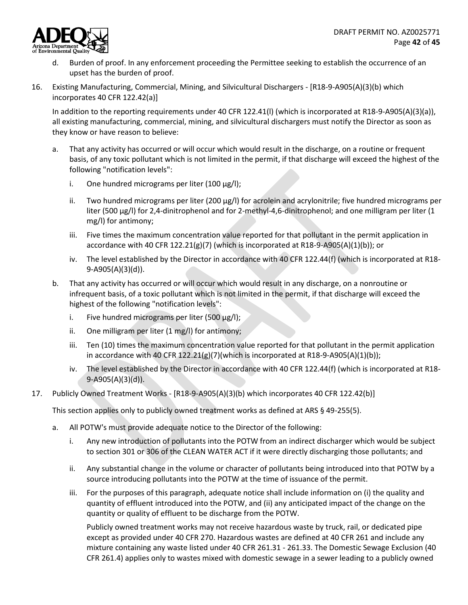

- d. Burden of proof. In any enforcement proceeding the Permittee seeking to establish the occurrence of an upset has the burden of proof.
- 16. Existing Manufacturing, Commercial, Mining, and Silvicultural Dischargers [R18-9-A905(A)(3)(b) which incorporates 40 CFR 122.42(a)]

In addition to the reporting requirements under 40 CFR 122.41(l) (which is incorporated at R18-9-A905(A)(3)(a)), all existing manufacturing, commercial, mining, and silvicultural dischargers must notify the Director as soon as they know or have reason to believe:

- a. That any activity has occurred or will occur which would result in the discharge, on a routine or frequent basis, of any toxic pollutant which is not limited in the permit, if that discharge will exceed the highest of the following "notification levels":
	- i. One hundred micrograms per liter  $(100 \mu g/l)$ ;
	- ii. Two hundred micrograms per liter (200 μg/l) for acrolein and acrylonitrile; five hundred micrograms per liter (500 μg/l) for 2,4-dinitrophenol and for 2-methyl-4,6-dinitrophenol; and one milligram per liter (1 mg/l) for antimony;
	- iii. Five times the maximum concentration value reported for that pollutant in the permit application in accordance with 40 CFR  $122.21(g)(7)$  (which is incorporated at R18-9-A905(A)(1)(b)); or
	- iv. The level established by the Director in accordance with 40 CFR 122.44(f) (which is incorporated at R18- 9-A905(A)(3)(d)).
- b. That any activity has occurred or will occur which would result in any discharge, on a nonroutine or infrequent basis, of a toxic pollutant which is not limited in the permit, if that discharge will exceed the highest of the following "notification levels":
	- i. Five hundred micrograms per liter (500  $\mu$ g/l);
	- ii. One milligram per liter (1 mg/l) for antimony;
	- iii. Ten (10) times the maximum concentration value reported for that pollutant in the permit application in accordance with 40 CFR  $122.21(g)(7)($  which is incorporated at R18-9-A905(A)(1)(b));
	- iv. The level established by the Director in accordance with 40 CFR 122.44(f) (which is incorporated at R18- 9-A905(A)(3)(d)).
- 17. Publicly Owned Treatment Works [R18-9-A905(A)(3)(b) which incorporates 40 CFR 122.42(b)]

This section applies only to publicly owned treatment works as defined at ARS § 49-255(5).

- a. All POTW's must provide adequate notice to the Director of the following:
	- i. Any new introduction of pollutants into the POTW from an indirect discharger which would be subject to section 301 or 306 of the CLEAN WATER ACT if it were directly discharging those pollutants; and
	- ii. Any substantial change in the volume or character of pollutants being introduced into that POTW by a source introducing pollutants into the POTW at the time of issuance of the permit.
	- iii. For the purposes of this paragraph, adequate notice shall include information on (i) the quality and quantity of effluent introduced into the POTW, and (ii) any anticipated impact of the change on the quantity or quality of effluent to be discharge from the POTW.

Publicly owned treatment works may not receive hazardous waste by truck, rail, or dedicated pipe except as provided under 40 CFR 270. Hazardous wastes are defined at 40 CFR 261 and include any mixture containing any waste listed under 40 CFR 261.31 - 261.33. The Domestic Sewage Exclusion (40 CFR 261.4) applies only to wastes mixed with domestic sewage in a sewer leading to a publicly owned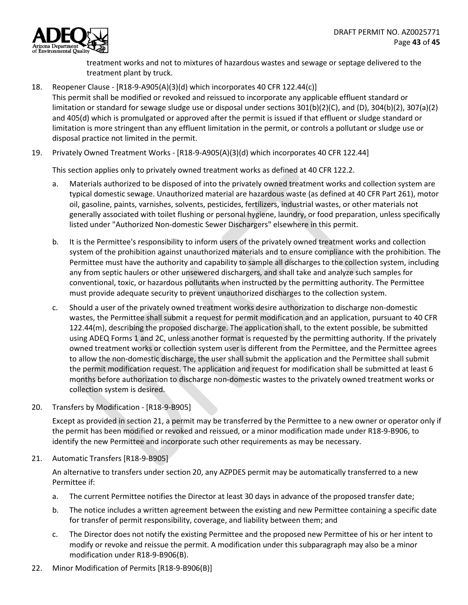

treatment works and not to mixtures of hazardous wastes and sewage or septage delivered to the treatment plant by truck.

18. Reopener Clause - [R18-9-A905(A)(3)(d) which incorporates 40 CFR 122.44(c)] This permit shall be modified or revoked and reissued to incorporate any applicable effluent standard or limitation or standard for sewage sludge use or disposal under sections 301(b)(2)(C), and (D), 304(b)(2), 307(a)(2) and 405(d) which is promulgated or approved after the permit is issued if that effluent or sludge standard or limitation is more stringent than any effluent limitation in the permit, or controls a pollutant or sludge use or disposal practice not limited in the permit.

19. Privately Owned Treatment Works - [R18-9-A905(A)(3)(d) which incorporates 40 CFR 122.44]

This section applies only to privately owned treatment works as defined at 40 CFR 122.2.

- a. Materials authorized to be disposed of into the privately owned treatment works and collection system are typical domestic sewage. Unauthorized material are hazardous waste (as defined at 40 CFR Part 261), motor oil, gasoline, paints, varnishes, solvents, pesticides, fertilizers, industrial wastes, or other materials not generally associated with toilet flushing or personal hygiene, laundry, or food preparation, unless specifically listed under "Authorized Non-domestic Sewer Dischargers" elsewhere in this permit.
- b. It is the Permittee's responsibility to inform users of the privately owned treatment works and collection system of the prohibition against unauthorized materials and to ensure compliance with the prohibition. The Permittee must have the authority and capability to sample all discharges to the collection system, including any from septic haulers or other unsewered dischargers, and shall take and analyze such samples for conventional, toxic, or hazardous pollutants when instructed by the permitting authority. The Permittee must provide adequate security to prevent unauthorized discharges to the collection system.
- c. Should a user of the privately owned treatment works desire authorization to discharge non-domestic wastes, the Permittee shall submit a request for permit modification and an application, pursuant to 40 CFR 122.44(m), describing the proposed discharge. The application shall, to the extent possible, be submitted using ADEQ Forms 1 and 2C, unless another format is requested by the permitting authority. If the privately owned treatment works or collection system user is different from the Permittee, and the Permittee agrees to allow the non-domestic discharge, the user shall submit the application and the Permittee shall submit the permit modification request. The application and request for modification shall be submitted at least 6 months before authorization to discharge non-domestic wastes to the privately owned treatment works or collection system is desired.
- 20. Transfers by Modification [R18-9-B905]

Except as provided in section 21, a permit may be transferred by the Permittee to a new owner or operator only if the permit has been modified or revoked and reissued, or a minor modification made under R18-9-B906, to identify the new Permittee and incorporate such other requirements as may be necessary.

21. Automatic Transfers [R18-9-B905]

An alternative to transfers under section 20, any AZPDES permit may be automatically transferred to a new Permittee if:

- a. The current Permittee notifies the Director at least 30 days in advance of the proposed transfer date;
- b. The notice includes a written agreement between the existing and new Permittee containing a specific date for transfer of permit responsibility, coverage, and liability between them; and
- c. The Director does not notify the existing Permittee and the proposed new Permittee of his or her intent to modify or revoke and reissue the permit. A modification under this subparagraph may also be a minor modification under R18-9-B906(B).
- 22. Minor Modification of Permits [R18-9-B906(B)]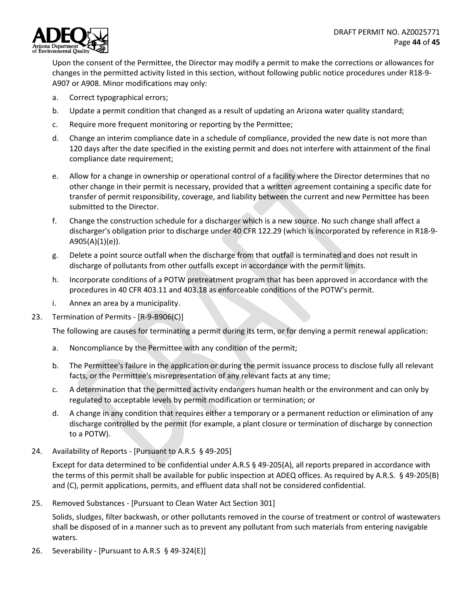

Upon the consent of the Permittee, the Director may modify a permit to make the corrections or allowances for changes in the permitted activity listed in this section, without following public notice procedures under R18-9- A907 or A908. Minor modifications may only:

- a. Correct typographical errors;
- b. Update a permit condition that changed as a result of updating an Arizona water quality standard;
- c. Require more frequent monitoring or reporting by the Permittee;
- d. Change an interim compliance date in a schedule of compliance, provided the new date is not more than 120 days after the date specified in the existing permit and does not interfere with attainment of the final compliance date requirement;
- e. Allow for a change in ownership or operational control of a facility where the Director determines that no other change in their permit is necessary, provided that a written agreement containing a specific date for transfer of permit responsibility, coverage, and liability between the current and new Permittee has been submitted to the Director.
- f. Change the construction schedule for a discharger which is a new source. No such change shall affect a discharger's obligation prior to discharge under 40 CFR 122.29 (which is incorporated by reference in R18-9- A905(A)(1)(e)).
- g. Delete a point source outfall when the discharge from that outfall is terminated and does not result in discharge of pollutants from other outfalls except in accordance with the permit limits.
- h. Incorporate conditions of a POTW pretreatment program that has been approved in accordance with the procedures in 40 CFR 403.11 and 403.18 as enforceable conditions of the POTW's permit.
- i. Annex an area by a municipality.
- 23. Termination of Permits [R-9-B906(C)]

The following are causes for terminating a permit during its term, or for denying a permit renewal application:

- a. Noncompliance by the Permittee with any condition of the permit;
- b. The Permittee's failure in the application or during the permit issuance process to disclose fully all relevant facts, or the Permittee's misrepresentation of any relevant facts at any time;
- c. A determination that the permitted activity endangers human health or the environment and can only by regulated to acceptable levels by permit modification or termination; or
- d. A change in any condition that requires either a temporary or a permanent reduction or elimination of any discharge controlled by the permit (for example, a plant closure or termination of discharge by connection to a POTW).
- 24. Availability of Reports [Pursuant to A.R.S § 49-205]

Except for data determined to be confidential under A.R.S § 49-205(A), all reports prepared in accordance with the terms of this permit shall be available for public inspection at ADEQ offices. As required by A.R.S. § 49-205(B) and (C), permit applications, permits, and effluent data shall not be considered confidential.

25. Removed Substances - [Pursuant to Clean Water Act Section 301]

Solids, sludges, filter backwash, or other pollutants removed in the course of treatment or control of wastewaters shall be disposed of in a manner such as to prevent any pollutant from such materials from entering navigable waters.

26. Severability - [Pursuant to A.R.S § 49-324(E)]